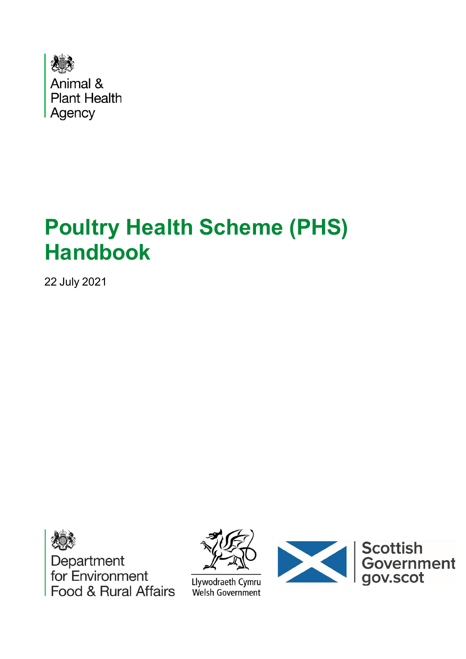

# **Poultry Health Scheme (PHS) Handbook**

22 July 2021





Llywodraeth Cymru Welsh Government

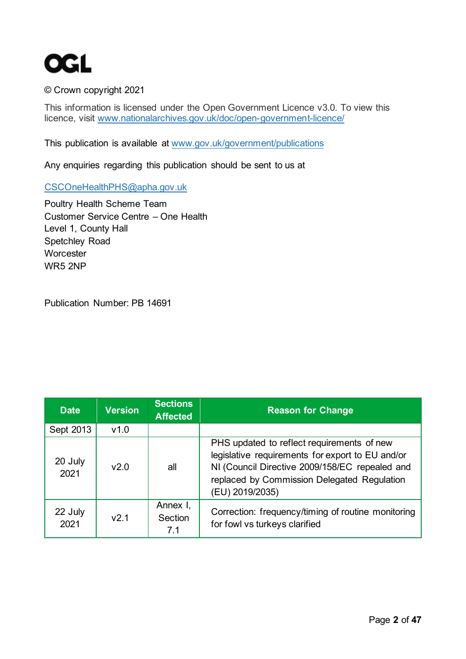

#### © Crown copyright 2021

This information is licensed under the Open Government Licence v3.0. To view this licence, visit [www.nationalarchives.gov.uk/doc/open-government-licence/](http://www.nationalarchives.gov.uk/doc/open-government-licence/) 

This publication is available at [www.gov.uk/government/publications](http://www.gov.uk/government/publications) 

Any enquiries regarding this publication should be sent to us at

[CSCOneHealthPHS@apha.gov.uk](mailto:CSCOneHealthPHS@apha.gov.uk)

Poultry Health Scheme Team Customer Service Centre – One Health Level 1, County Hall Spetchley Road **Worcester** WR5 2NP

Publication Number: PB 14691

| <b>Date</b>     | <b>Version</b> | <b>Sections</b><br><b>Affected</b> | <b>Reason for Change</b>                                                                                                                                                                                           |
|-----------------|----------------|------------------------------------|--------------------------------------------------------------------------------------------------------------------------------------------------------------------------------------------------------------------|
| Sept 2013       | v1.0           |                                    |                                                                                                                                                                                                                    |
| 20 July<br>2021 | v2.0           | all                                | PHS updated to reflect requirements of new<br>legislative requirements for export to EU and/or<br>NI (Council Directive 2009/158/EC repealed and<br>replaced by Commission Delegated Regulation<br>(EU) 2019/2035) |
| 22 July<br>2021 | v2.1           | Annex I,<br>Section<br>7.1         | Correction: frequency/timing of routine monitoring<br>for fowl vs turkeys clarified                                                                                                                                |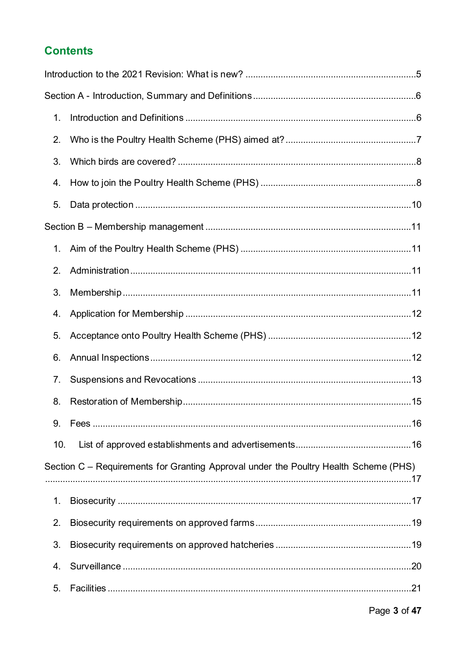#### **Contents**

| 1.  |                                                                                      |  |
|-----|--------------------------------------------------------------------------------------|--|
| 2.  |                                                                                      |  |
| 3.  |                                                                                      |  |
| 4.  |                                                                                      |  |
| 5.  |                                                                                      |  |
|     |                                                                                      |  |
| 1.  |                                                                                      |  |
| 2.  |                                                                                      |  |
| 3.  |                                                                                      |  |
| 4.  |                                                                                      |  |
| 5.  |                                                                                      |  |
| 6.  |                                                                                      |  |
| 7.  |                                                                                      |  |
| 8.  |                                                                                      |  |
| 9.  |                                                                                      |  |
| 10. |                                                                                      |  |
|     | Section C – Requirements for Granting Approval under the Poultry Health Scheme (PHS) |  |
| 1.  |                                                                                      |  |
| 2.  |                                                                                      |  |
| 3.  |                                                                                      |  |
| 4.  |                                                                                      |  |
| 5.  |                                                                                      |  |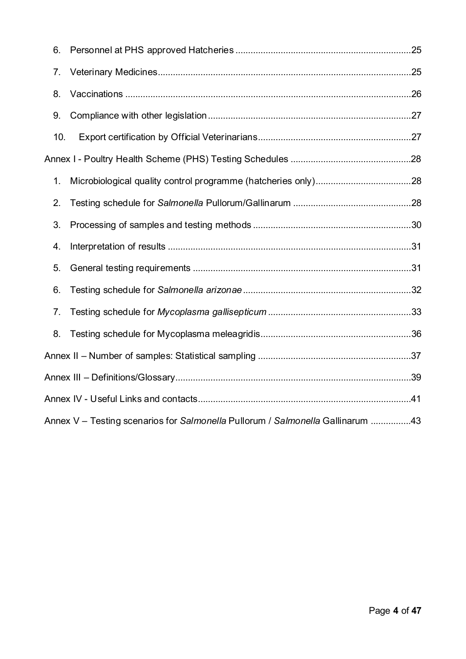| 6.  |                                                                                |  |
|-----|--------------------------------------------------------------------------------|--|
| 7.  |                                                                                |  |
| 8.  |                                                                                |  |
| 9.  |                                                                                |  |
| 10. |                                                                                |  |
|     |                                                                                |  |
| 1.  |                                                                                |  |
| 2.  |                                                                                |  |
| 3.  |                                                                                |  |
| 4.  |                                                                                |  |
| 5.  |                                                                                |  |
| 6.  |                                                                                |  |
| 7.  |                                                                                |  |
| 8.  |                                                                                |  |
|     |                                                                                |  |
|     |                                                                                |  |
|     |                                                                                |  |
|     | Annex V - Testing scenarios for Salmonella Pullorum / Salmonella Gallinarum 43 |  |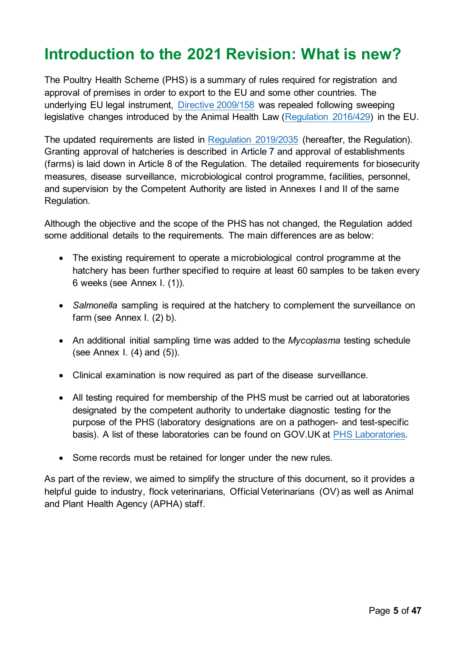# <span id="page-4-0"></span>**Introduction to the 2021 Revision: What is new?**

The Poultry Health Scheme (PHS) is a summary of rules required for registration and approval of premises in order to export to the EU and some other countries. The underlying EU legal instrument, [Directive 2009/158](https://eur-lex.europa.eu/legal-content/EN/TXT/?uri=CELEX%3A32009L0158) was repealed following sweeping legislative changes introduced by the Animal Health Law [\(Regulation 2016/429\)](https://eur-lex.europa.eu/legal-content/EN/TXT/?uri=CELEX%3A02016R0429-20210421) in the EU.

The updated requirements are listed in [Regulation 2019/2035](https://eur-lex.europa.eu/legal-content/EN/TXT/?uri=CELEX%3A02019R2035-20210421) (hereafter, the Regulation). Granting approval of hatcheries is described in Article 7 and approval of establishments (farms) is laid down in Article 8 of the Regulation. The detailed requirements for biosecurity measures, disease surveillance, microbiological control programme, facilities, personnel, and supervision by the Competent Authority are listed in Annexes I and II of the same Regulation.

Although the objective and the scope of the PHS has not changed, the Regulation added some additional details to the requirements. The main differences are as below:

- The existing requirement to operate a microbiological control programme at the hatchery has been further specified to require at least 60 samples to be taken every 6 weeks (see Annex I. (1)).
- *Salmonella* sampling is required at the hatchery to complement the surveillance on farm (see Annex I. (2) b).
- An additional initial sampling time was added to the *Mycoplasma* testing schedule (see Annex I. (4) and (5)).
- Clinical examination is now required as part of the disease surveillance.
- All testing required for membership of the PHS must be carried out at laboratories designated by the competent authority to undertake diagnostic testing for the purpose of the PHS (laboratory designations are on a pathogen- and test-specific basis). A list of these laboratories can be found on GOV.UK at [PHS Laboratories.](https://www.gov.uk/government/collections/defra-approved-laboratories-salmonella-poultry-health-animal-by-products-and-rabies)
- Some records must be retained for longer under the new rules.

As part of the review, we aimed to simplify the structure of this document, so it provides a helpful guide to industry, flock veterinarians, Official Veterinarians (OV) as well as Animal and Plant Health Agency (APHA) staff.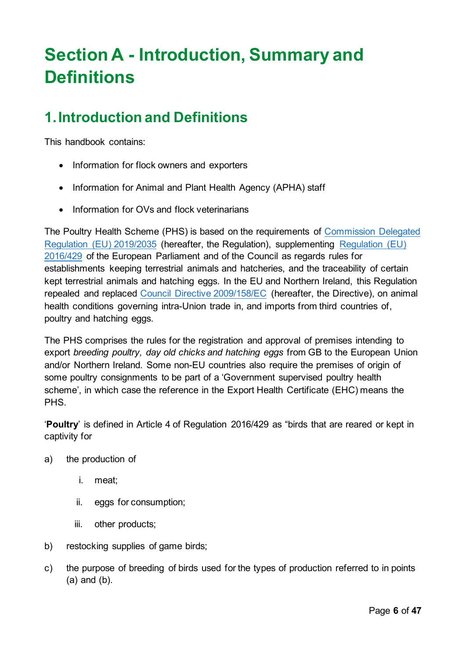# <span id="page-5-0"></span>**Section A - Introduction, Summary and Definitions**

## <span id="page-5-1"></span>**1.Introduction and Definitions**

This handbook contains:

- Information for flock owners and exporters
- Information for Animal and Plant Health Agency (APHA) staff
- Information for OVs and flock veterinarians

The Poultry Health Scheme (PHS) is based on the requirements of [Commission Delegated](https://eur-lex.europa.eu/legal-content/EN/TXT/?uri=CELEX%3A02019R2035-20210421)  [Regulation \(EU\) 2019/2035](https://eur-lex.europa.eu/legal-content/EN/TXT/?uri=CELEX%3A02019R2035-20210421) (hereafter, the Regulation), supplementing [Regulation \(EU\)](https://eur-lex.europa.eu/legal-content/EN/TXT/?uri=CELEX%3A02016R0429-20210421)  [2016/429](https://eur-lex.europa.eu/legal-content/EN/TXT/?uri=CELEX%3A02016R0429-20210421) of the European Parliament and of the Council as regards rules for establishments keeping terrestrial animals and hatcheries, and the traceability of certain kept terrestrial animals and hatching eggs. In the EU and Northern Ireland, this Regulation repealed and replaced [Council Directive 2009/158/EC](http://eur-lex.europa.eu/LexUriServ/LexUriServ.do?uri=OJ:L:2009:343:0074:0113:EN:PDF) (hereafter, the Directive), on animal health conditions governing intra-Union trade in, and imports from third countries of, poultry and hatching eggs.

The PHS comprises the rules for the registration and approval of premises intending to export *breeding poultry, day old chicks and hatching eggs* from GB to the European Union and/or Northern Ireland*.* Some non-EU countries also require the premises of origin of some poultry consignments to be part of a 'Government supervised poultry health scheme', in which case the reference in the Export Health Certificate (EHC) means the PHS.

'**Poultry**' is defined in Article 4 of Regulation 2016/429 as "birds that are reared or kept in captivity for

- a) the production of
	- i. meat;
	- ii. eggs for consumption;
	- iii. other products;
- b) restocking supplies of game birds;
- c) the purpose of breeding of birds used for the types of production referred to in points (a) and (b).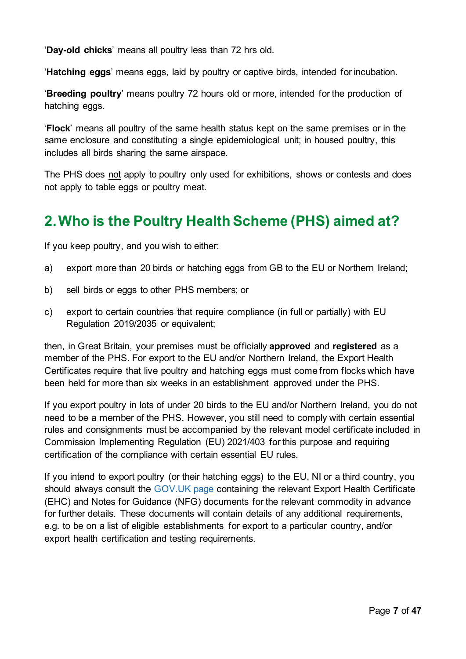'**Day-old chicks**' means all poultry less than 72 hrs old.

'**Hatching eggs**' means eggs, laid by poultry or captive birds, intended for incubation.

'**Breeding poultry**' means poultry 72 hours old or more, intended for the production of hatching eggs.

'**Flock**' means all poultry of the same health status kept on the same premises or in the same enclosure and constituting a single epidemiological unit; in housed poultry, this includes all birds sharing the same airspace.

The PHS does not apply to poultry only used for exhibitions, shows or contests and does not apply to table eggs or poultry meat.

## <span id="page-6-0"></span>**2.Who is the Poultry Health Scheme (PHS) aimed at?**

If you keep poultry, and you wish to either:

- a) export more than 20 birds or hatching eggs from GB to the EU or Northern Ireland;
- b) sell birds or eggs to other PHS members; or
- c) export to certain countries that require compliance (in full or partially) with EU [Regulation 2019/2035](https://eur-lex.europa.eu/legal-content/en/ALL/?uri=CELEX:32019R2035) or equivalent;

then, in Great Britain, your premises must be officially **approved** and **registered** as a member of the PHS. For export to the EU and/or Northern Ireland, the Export Health Certificates require that live poultry and hatching eggs must come from flocks which have been held for more than six weeks in an establishment approved under the PHS.

If you export poultry in lots of under 20 birds to the EU and/or Northern Ireland, you do not need to be a member of the PHS. However, you still need to comply with certain essential rules and consignments must be accompanied by the relevant model certificate included in Commission Implementing Regulation (EU) 2021/403 for this purpose and requiring certification of the compliance with certain essential EU rules.

If you intend to export poultry (or their hatching eggs) to the EU, NI or a third country, you should always consult the [GOV.UK](https://www.gov.uk/export-health-certificates) page containing the relevant Export Health Certificate (EHC) and Notes for Guidance (NFG) documents for the relevant commodity in advance for further details. These documents will contain details of any additional requirements, e.g. to be on a list of eligible establishments for export to a particular country, and/or export health certification and testing requirements.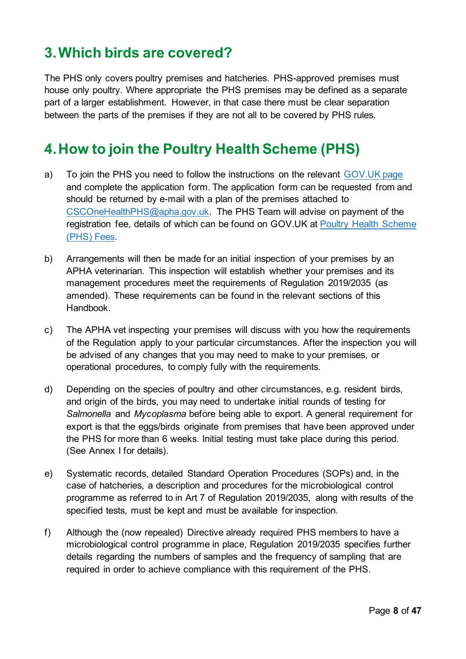### <span id="page-7-0"></span>**3.Which birds are covered?**

The PHS only covers poultry premises and hatcheries. PHS-approved premises must house only poultry. Where appropriate the PHS premises may be defined as a separate part of a larger establishment. However, in that case there must be clear separation between the parts of the premises if they are not all to be covered by PHS rules.

### <span id="page-7-1"></span>**4.How to join the Poultry Health Scheme (PHS)**

- a) To join the PHS you need to follow the instructions on the relevant [GOV.UK](https://www.gov.uk/guidance/poultry-health-scheme-how-to-register#how-to-join-the-poultry-health-scheme) page and complete the application form. The application form can be requested from and should be returned by e-mail with a plan of the premises attached to [CSCOneHealthPHS@apha.gov.uk.](mailto:CSCOneHealthPHS@apha.gov.uk) The PHS Team will advise on payment of the registration fee, details of which can be found on GOV.UK at [Poultry Health Scheme](http://www.defra.gov.uk/ahvla-en/tests-and-services/charges-for-ahvla-services/phs-fees/)  [\(PHS\) Fees.](http://www.defra.gov.uk/ahvla-en/tests-and-services/charges-for-ahvla-services/phs-fees/)
- b) Arrangements will then be made for an initial inspection of your premises by an APHA veterinarian. This inspection will establish whether your premises and its management procedures meet the requirements of Regulation 2019/2035 (as amended). These requirements can be found in the relevant sections of this Handbook.
- c) The APHA vet inspecting your premises will discuss with you how the requirements of the Regulation apply to your particular circumstances. After the inspection you will be advised of any changes that you may need to make to your premises, or operational procedures, to comply fully with the requirements.
- d) Depending on the species of poultry and other circumstances, e.g. resident birds, and origin of the birds, you may need to undertake initial rounds of testing for *Salmonella* and *Mycoplasma* before being able to export. A general requirement for export is that the eggs/birds originate from premises that have been approved under the PHS for more than 6 weeks. Initial testing must take place during this period. (See Annex I for details).
- e) Systematic records, detailed Standard Operation Procedures (SOPs) and, in the case of hatcheries, a description and procedures for the microbiological control programme as referred to in Art 7 of Regulation 2019/2035, along with results of the specified tests, must be kept and must be available for inspection.
- f) Although the (now repealed) Directive already required PHS members to have a microbiological control programme in place, Regulation 2019/2035 specifies further details regarding the numbers of samples and the frequency of sampling that are required in order to achieve compliance with this requirement of the PHS.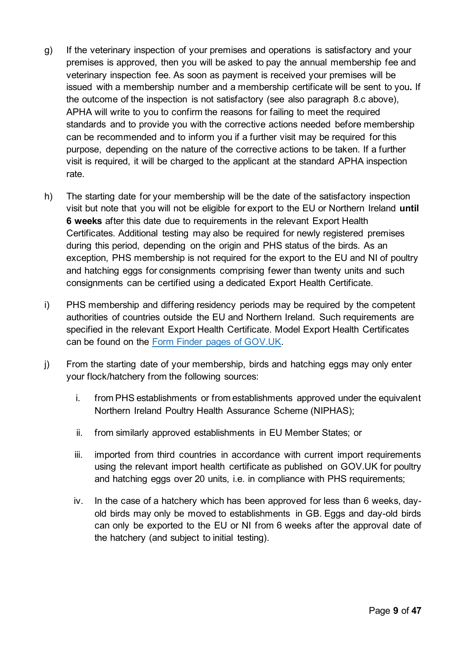- g) If the veterinary inspection of your premises and operations is satisfactory and your premises is approved, then you will be asked to pay the annual membership fee and veterinary inspection fee. As soon as payment is received your premises will be issued with a membership number and a membership certificate will be sent to you**.** If the outcome of the inspection is not satisfactory (see also paragraph 8.c above), APHA will write to you to confirm the reasons for failing to meet the required standards and to provide you with the corrective actions needed before membership can be recommended and to inform you if a further visit may be required for this purpose, depending on the nature of the corrective actions to be taken. If a further visit is required, it will be charged to the applicant at the standard APHA inspection rate.
- h) The starting date for your membership will be the date of the satisfactory inspection visit but note that you will not be eligible for export to the EU or Northern Ireland **until 6 weeks** after this date due to requirements in the relevant Export Health Certificates. Additional testing may also be required for newly registered premises during this period, depending on the origin and PHS status of the birds. As an exception, PHS membership is not required for the export to the EU and NI of poultry and hatching eggs for consignments comprising fewer than twenty units and such consignments can be certified using a dedicated Export Health Certificate.
- i) PHS membership and differing residency periods may be required by the competent authorities of countries outside the EU and Northern Ireland. Such requirements are specified in the relevant Export Health Certificate. Model Export Health Certificates can be found on the [Form Finder pages of GOV.UK.](https://www.gov.uk/export-health-certificates)
- j) From the starting date of your membership, birds and hatching eggs may only enter your flock/hatchery from the following sources:
	- i. from PHS establishments or from establishments approved under the equivalent Northern Ireland Poultry Health Assurance Scheme (NIPHAS);
	- ii. from similarly approved establishments in EU Member States; or
	- iii. imported from third countries in accordance with current import requirements using the relevant import health certificate as published on GOV.UK for poultry and hatching eggs over 20 units, i.e. in compliance with PHS requirements;
	- iv. In the case of a hatchery which has been approved for less than 6 weeks, dayold birds may only be moved to establishments in GB. Eggs and day-old birds can only be exported to the EU or NI from 6 weeks after the approval date of the hatchery (and subject to initial testing).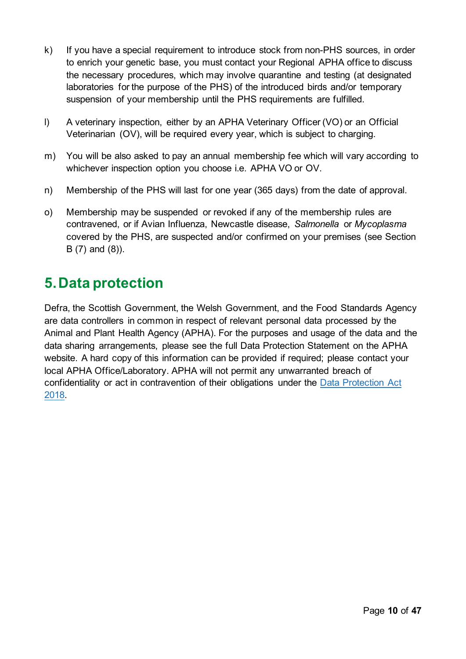- k) If you have a special requirement to introduce stock from non-PHS sources, in order to enrich your genetic base, you must contact your Regional APHA office to discuss the necessary procedures, which may involve quarantine and testing (at designated laboratories for the purpose of the PHS) of the introduced birds and/or temporary suspension of your membership until the PHS requirements are fulfilled.
- l) A veterinary inspection, either by an APHA Veterinary Officer (VO) or an Official Veterinarian (OV), will be required every year, which is subject to charging.
- m) You will be also asked to pay an annual membership fee which will vary according to whichever inspection option you choose i.e. APHA VO or OV.
- n) Membership of the PHS will last for one year (365 days) from the date of approval.
- o) Membership may be suspended or revoked if any of the membership rules are contravened, or if Avian Influenza, Newcastle disease, *Salmonella* or *Mycoplasma* covered by the PHS, are suspected and/or confirmed on your premises (see Section B (7) and (8)).

### <span id="page-9-0"></span>**5.Data protection**

Defra, the Scottish Government, the Welsh Government, and the Food Standards Agency are data controllers in common in respect of relevant personal data processed by the Animal and Plant Health Agency (APHA). For the purposes and usage of the data and the data sharing arrangements, please see the full Data Protection Statement on the APHA website. A hard copy of this information can be provided if required; please contact your local APHA Office/Laboratory. APHA will not permit any unwarranted breach of confidentiality or act in contravention of their obligations under the Data Protection Act [2018.](https://www.legislation.gov.uk/ukpga/2018/12/contents)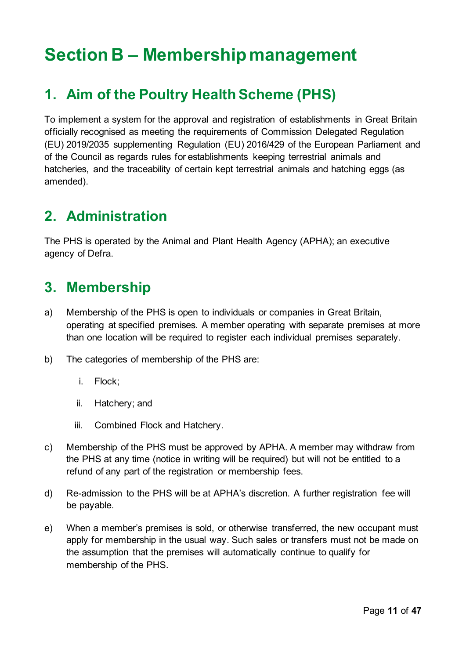# <span id="page-10-0"></span>**Section B – Membership management**

### <span id="page-10-1"></span>**1. Aim of the Poultry Health Scheme (PHS)**

To implement a system for the approval and registration of establishments in Great Britain officially recognised as meeting the requirements of Commission Delegated Regulation (EU) 2019/2035 supplementing Regulation (EU) 2016/429 of the European Parliament and of the Council as regards rules for establishments keeping terrestrial animals and hatcheries, and the traceability of certain kept terrestrial animals and hatching eggs (as amended).

### <span id="page-10-2"></span>**2. Administration**

The PHS is operated by the Animal and Plant Health Agency (APHA); an executive agency of Defra.

#### <span id="page-10-3"></span>**3. Membership**

- a) Membership of the PHS is open to individuals or companies in Great Britain, operating at specified premises. A member operating with separate premises at more than one location will be required to register each individual premises separately.
- b) The categories of membership of the PHS are:
	- i. Flock;
	- ii. Hatchery; and
	- iii. Combined Flock and Hatchery.
- c) Membership of the PHS must be approved by APHA. A member may withdraw from the PHS at any time (notice in writing will be required) but will not be entitled to a refund of any part of the registration or membership fees.
- d) Re-admission to the PHS will be at APHA's discretion. A further registration fee will be payable.
- e) When a member's premises is sold, or otherwise transferred, the new occupant must apply for membership in the usual way. Such sales or transfers must not be made on the assumption that the premises will automatically continue to qualify for membership of the PHS.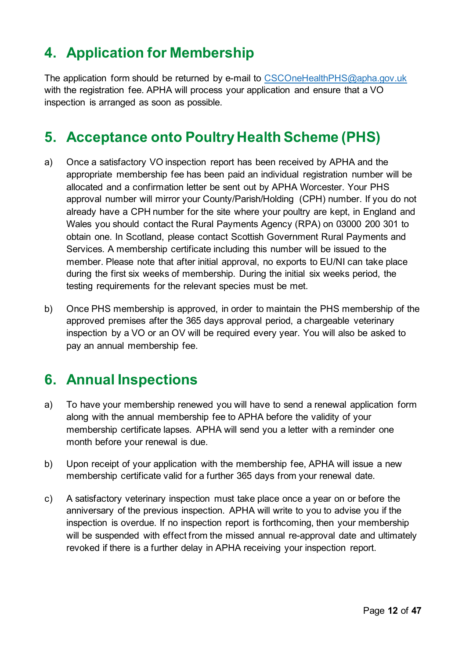## <span id="page-11-0"></span>**4. Application for Membership**

The application form should be returned by e-mail to [CSCOneHealthPHS@apha.gov.uk](mailto:CSCOneHealthPHS@apha.gov.uk) with the registration fee. APHA will process your application and ensure that a VO inspection is arranged as soon as possible.

### <span id="page-11-1"></span>**5. Acceptance onto Poultry Health Scheme (PHS)**

- a) Once a satisfactory VO inspection report has been received by APHA and the appropriate membership fee has been paid an individual registration number will be allocated and a confirmation letter be sent out by APHA Worcester. Your PHS approval number will mirror your County/Parish/Holding (CPH) number. If you do not already have a CPH number for the site where your poultry are kept, in England and Wales you should contact the Rural Payments Agency (RPA) on 03000 200 301 to obtain one. In Scotland, please contact [Scottish Government Rural Payments and](https://www.ruralpayments.org/topics/contact-us/)  [Services.](https://www.ruralpayments.org/topics/contact-us/) A membership certificate including this number will be issued to the member. Please note that after initial approval, no exports to EU/NI can take place during the first six weeks of membership. During the initial six weeks period, the testing requirements for the relevant species must be met.
- b) Once PHS membership is approved, in order to maintain the PHS membership of the approved premises after the 365 days approval period, a chargeable veterinary inspection by a VO or an OV will be required every year. You will also be asked to pay an annual membership fee.

#### <span id="page-11-2"></span>**6. Annual Inspections**

- a) To have your membership renewed you will have to send a renewal application form along with the annual membership fee to APHA before the validity of your membership certificate lapses. APHA will send you a letter with a reminder one month before your renewal is due.
- b) Upon receipt of your application with the membership fee, APHA will issue a new membership certificate valid for a further 365 days from your renewal date.
- c) A satisfactory veterinary inspection must take place once a year on or before the anniversary of the previous inspection. APHA will write to you to advise you if the inspection is overdue. If no inspection report is forthcoming, then your membership will be suspended with effect from the missed annual re-approval date and ultimately revoked if there is a further delay in APHA receiving your inspection report.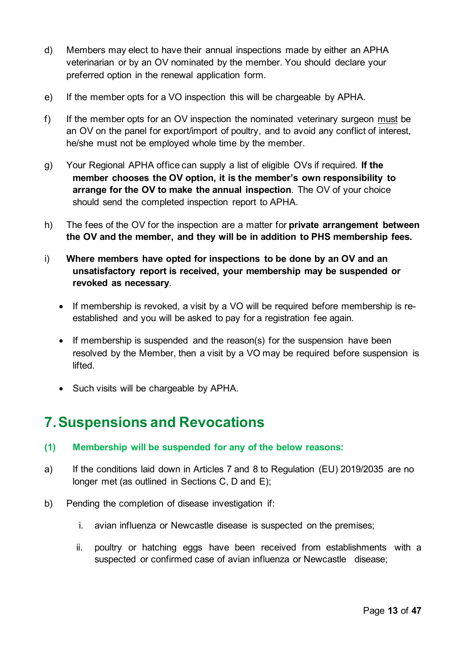- d) Members may elect to have their annual inspections made by either an APHA veterinarian or by an OV nominated by the member. You should declare your preferred option in the renewal application form.
- e) If the member opts for a VO inspection this will be chargeable by APHA.
- f) If the member opts for an OV inspection the nominated veterinary surgeon must be an OV on the panel for export/import of poultry, and to avoid any conflict of interest, he/she must not be employed whole time by the member.
- g) Your Regional APHA office can supply a list of eligible OVs if required. **If the member chooses the OV option, it is the member's own responsibility to arrange for the OV to make the annual inspection**. The OV of your choice should send the completed inspection report to APHA.
- h) The fees of the OV for the inspection are a matter for **private arrangement between the OV and the member, and they will be in addition to PHS membership fees.**
- i) **Where members have opted for inspections to be done by an OV and an unsatisfactory report is received, your membership may be suspended or revoked as necessary**.
	- If membership is revoked, a visit by a VO will be required before membership is reestablished and you will be asked to pay for a registration fee again.
	- If membership is suspended and the reason(s) for the suspension have been resolved by the Member, then a visit by a VO may be required before suspension is lifted.
	- Such visits will be chargeable by APHA.

### <span id="page-12-0"></span>**7.Suspensions and Revocations**

- **(1) Membership will be suspended for any of the below reasons:**
- a) If the conditions laid down in Articles 7 and 8 to Regulation (EU) 2019/2035 are no longer met (as outlined in Sections C, D and E);
- b) Pending the completion of disease investigation if:
	- i. avian influenza or Newcastle disease is suspected on the premises;
	- ii. poultry or hatching eggs have been received from establishments with a suspected or confirmed case of avian influenza or Newcastle disease;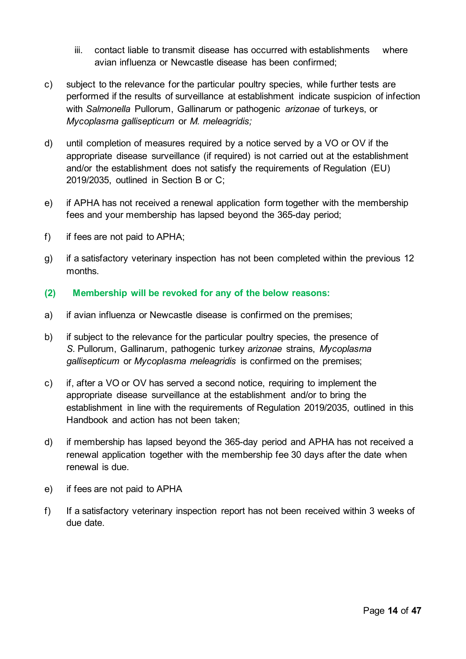- iii. contact liable to transmit disease has occurred with establishments where avian influenza or Newcastle disease has been confirmed;
- c) subject to the relevance for the particular poultry species, while further tests are performed if the results of surveillance at establishment indicate suspicion of infection with *Salmonella* Pullorum, Gallinarum or pathogenic *arizonae* of turkeys, or *Mycoplasma gallisepticum* or *M. meleagridis;*
- d) until completion of measures required by a notice served by a VO or OV if the appropriate disease surveillance (if required) is not carried out at the establishment and/or the establishment does not satisfy the requirements of Regulation (EU) 2019/2035, outlined in Section B or C;
- e) if APHA has not received a renewal application form together with the membership fees and your membership has lapsed beyond the 365-day period;
- f) if fees are not paid to APHA;
- g) if a satisfactory veterinary inspection has not been completed within the previous 12 months.
- **(2) Membership will be revoked for any of the below reasons:**
- a) if avian influenza or Newcastle disease is confirmed on the premises;
- b) if subject to the relevance for the particular poultry species, the presence of *S.* Pullorum, Gallinarum, pathogenic turkey *arizonae* strains, *Mycoplasma gallisepticum* or *Mycoplasma meleagridis* is confirmed on the premises;
- c) if, after a VO or OV has served a second notice, requiring to implement the appropriate disease surveillance at the establishment and/or to bring the establishment in line with the requirements of Regulation 2019/2035, outlined in this Handbook and action has not been taken;
- d) if membership has lapsed beyond the 365-day period and APHA has not received a renewal application together with the membership fee 30 days after the date when renewal is due.
- e) if fees are not paid to APHA
- f) If a satisfactory veterinary inspection report has not been received within 3 weeks of due date.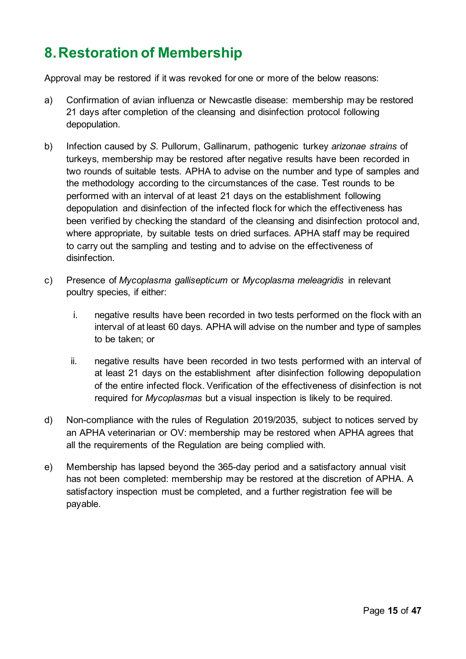## <span id="page-14-0"></span>**8.Restoration of Membership**

Approval may be restored if it was revoked for one or more of the below reasons:

- a) Confirmation of avian influenza or Newcastle disease: membership may be restored 21 days after completion of the cleansing and disinfection protocol following depopulation.
- b) Infection caused by *S.* Pullorum, Gallinarum, pathogenic turkey *arizonae strains* of turkeys, membership may be restored after negative results have been recorded in two rounds of suitable tests. APHA to advise on the number and type of samples and the methodology according to the circumstances of the case. Test rounds to be performed with an interval of at least 21 days on the establishment following depopulation and disinfection of the infected flock for which the effectiveness has been verified by checking the standard of the cleansing and disinfection protocol and, where appropriate, by suitable tests on dried surfaces. APHA staff may be required to carry out the sampling and testing and to advise on the effectiveness of disinfection.
- c) Presence of *Mycoplasma gallisepticum* or *Mycoplasma meleagridis* in relevant poultry species, if either:
	- i. negative results have been recorded in two tests performed on the flock with an interval of at least 60 days. APHA will advise on the number and type of samples to be taken; or
	- ii. negative results have been recorded in two tests performed with an interval of at least 21 days on the establishment after disinfection following depopulation of the entire infected flock. Verification of the effectiveness of disinfection is not required for *Mycoplasmas* but a visual inspection is likely to be required.
- d) Non-compliance with the rules of Regulation 2019/2035, subject to notices served by an APHA veterinarian or OV: membership may be restored when APHA agrees that all the requirements of the Regulation are being complied with.
- e) Membership has lapsed beyond the 365-day period and a satisfactory annual visit has not been completed: membership may be restored at the discretion of APHA. A satisfactory inspection must be completed, and a further registration fee will be payable.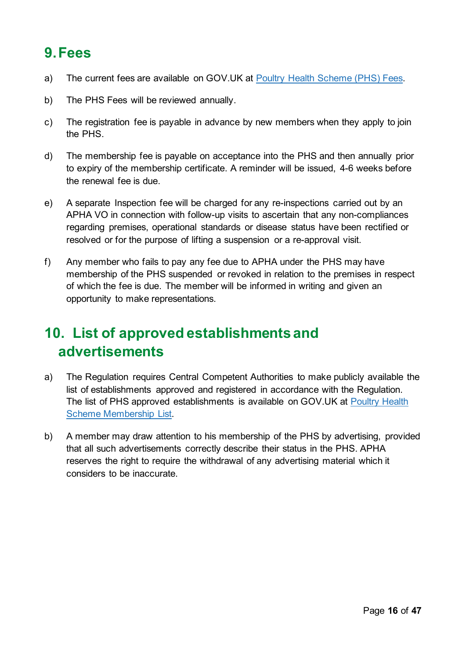### <span id="page-15-0"></span>**9.Fees**

- a) The current fees are available on GOV.UK at [Poultry Health Scheme \(PHS\) Fees.](https://www.gov.uk/guidance/poultry-health-scheme-how-to-register)
- b) The PHS Fees will be reviewed annually.
- c) The registration fee is payable in advance by new members when they apply to join the PHS.
- d) The membership fee is payable on acceptance into the PHS and then annually prior to expiry of the membership certificate. A reminder will be issued, 4-6 weeks before the renewal fee is due.
- e) A separate Inspection fee will be charged for any re-inspections carried out by an APHA VO in connection with follow-up visits to ascertain that any non-compliances regarding premises, operational standards or disease status have been rectified or resolved or for the purpose of lifting a suspension or a re-approval visit.
- f) Any member who fails to pay any fee due to APHA under the PHS may have membership of the PHS suspended or revoked in relation to the premises in respect of which the fee is due. The member will be informed in writing and given an opportunity to make representations.

### <span id="page-15-1"></span>**10. List of approved establishments and advertisements**

- a) The Regulation requires Central Competent Authorities to make publicly available the list of establishments approved and registered in accordance with the Regulation. The list of PHS approved establishments is available on GOV.UK at [Poultry Health](https://www.gov.uk/government/publications/poultry-health-scheme-list-of-members)  [Scheme Membership List.](https://www.gov.uk/government/publications/poultry-health-scheme-list-of-members)
- b) A member may draw attention to his membership of the PHS by advertising, provided that all such advertisements correctly describe their status in the PHS. APHA reserves the right to require the withdrawal of any advertising material which it considers to be inaccurate.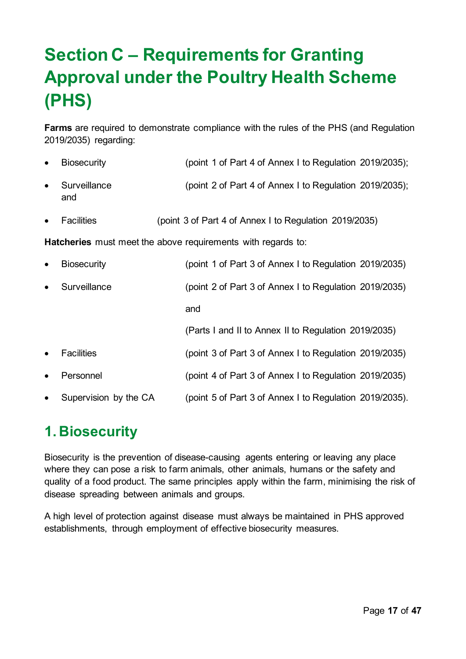# <span id="page-16-0"></span>**Section C – Requirements for Granting Approval under the Poultry Health Scheme (PHS)**

**Farms** are required to demonstrate compliance with the rules of the PHS (and Regulation 2019/2035) regarding:

- Biosecurity (point 1 of Part 4 of Annex I to Regulation 2019/2035); • Surveillance (point 2 of Part 4 of Annex I to Regulation 2019/2035); and
- Facilities (point 3 of Part 4 of Annex I to Regulation 2019/2035)

**Hatcheries** must meet the above requirements with regards to:

• Biosecurity (point 1 of Part 3 of Annex I to Regulation 2019/2035) • Surveillance (point 2 of Part 3 of Annex I to Regulation 2019/2035) and (Parts I and II to Annex II to Regulation 2019/2035) • Facilities (point 3 of Part 3 of Annex I to Regulation 2019/2035) • Personnel (point 4 of Part 3 of Annex I to Regulation 2019/2035) • Supervision by the CA (point 5 of Part 3 of Annex I to Regulation 2019/2035).

## <span id="page-16-1"></span>**1. Biosecurity**

Biosecurity is the prevention of disease-causing agents entering or leaving any place where they can pose a risk to farm animals, other animals, humans or the safety and quality of a food product. The same principles apply within the farm, minimising the risk of disease spreading between animals and groups.

A high level of protection against disease must always be maintained in PHS approved establishments, through employment of effective biosecurity measures.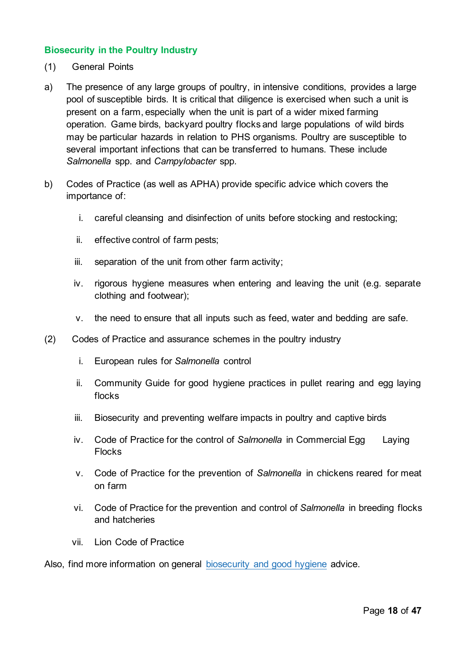#### **Biosecurity in the Poultry Industry**

- (1) General Points
- a) The presence of any large groups of poultry, in intensive conditions, provides a large pool of susceptible birds. It is critical that diligence is exercised when such a unit is present on a farm, especially when the unit is part of a wider mixed farming operation. Game birds, backyard poultry flocks and large populations of wild birds may be particular hazards in relation to PHS organisms. Poultry are susceptible to several important infections that can be transferred to humans. These include *Salmonella* spp. and *Campylobacter* spp.
- b) Codes of Practice (as well as APHA) provide specific advice which covers the importance of:
	- i. careful cleansing and disinfection of units before stocking and restocking;
	- ii. effective control of farm pests;
	- iii. separation of the unit from other farm activity;
	- iv. rigorous hygiene measures when entering and leaving the unit (e.g. separate clothing and footwear);
	- v. the need to ensure that all inputs such as feed, water and bedding are safe.
- (2) Codes of Practice and assurance schemes in the poultry industry
	- i. [European rules for](https://ec.europa.eu/food/food/biological-safety/food-borne-diseases-zoonoses/control-salmonella_en) *Salmonella* control
	- ii. [Community Guide for good hygiene practices in pullet rearing and egg laying](https://ec.europa.eu/food/system/files/2016-10/biosafety_food-borne-disease_salmonella_layers_community-guide.pdf)  [flocks](https://ec.europa.eu/food/system/files/2016-10/biosafety_food-borne-disease_salmonella_layers_community-guide.pdf)
	- iii. [Biosecurity and preventing welfare impacts in poultry and captive birds](https://assets.publishing.service.gov.uk/government/uploads/system/uploads/attachment_data/file/986693/biosecurity-poultry-guide.pdf)
	- iv. [Code of Practice for the control of](https://assets.publishing.service.gov.uk/government/uploads/system/uploads/attachment_data/file/342849/egg_laying_flocks_cop.pdf) *Salmonella* in Commercial Egg Laying **[Flocks](https://assets.publishing.service.gov.uk/government/uploads/system/uploads/attachment_data/file/342849/egg_laying_flocks_cop.pdf)**
	- v. [Code of Practice for the prevention of](http://adlib.everysite.co.uk/adlib/defra/content.aspx?doc=85540&id=85542) *Salmonella* in chickens reared for meat [on farm](http://adlib.everysite.co.uk/adlib/defra/content.aspx?doc=85540&id=85542)
	- vi. [Code of Practice for the prevention and control of](https://assets.publishing.service.gov.uk/government/uploads/system/uploads/attachment_data/file/342847/breeding_flocks_cop.pdf) *Salmonella* in breeding flocks [and hatcheries](https://assets.publishing.service.gov.uk/government/uploads/system/uploads/attachment_data/file/342847/breeding_flocks_cop.pdf)
	- vii. [Lion Code of Practice](https://www.safe-poultry.com/LionCodeofPractice.aspx)

Also, find more information on general [biosecurity and good hygiene](https://www.gov.uk/guidance/disease-prevention-for-livestock-farmers) advice.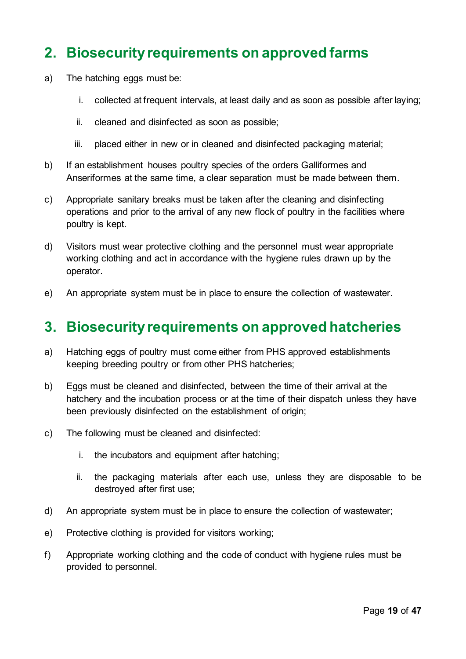### <span id="page-18-0"></span>**2. Biosecurity requirements on approved farms**

- a) The hatching eggs must be:
	- i. collected at frequent intervals, at least daily and as soon as possible after laying;
	- ii. cleaned and disinfected as soon as possible;
	- iii. placed either in new or in cleaned and disinfected packaging material;
- b) If an establishment houses poultry species of the orders Galliformes and Anseriformes at the same time, a clear separation must be made between them.
- c) Appropriate sanitary breaks must be taken after the cleaning and disinfecting operations and prior to the arrival of any new flock of poultry in the facilities where poultry is kept.
- d) Visitors must wear protective clothing and the personnel must wear appropriate working clothing and act in accordance with the hygiene rules drawn up by the operator.
- e) An appropriate system must be in place to ensure the collection of wastewater.

#### <span id="page-18-1"></span>**3. Biosecurity requirements on approved hatcheries**

- a) Hatching eggs of poultry must come either from PHS approved establishments keeping breeding poultry or from other PHS hatcheries;
- b) Eggs must be cleaned and disinfected, between the time of their arrival at the hatchery and the incubation process or at the time of their dispatch unless they have been previously disinfected on the establishment of origin;
- c) The following must be cleaned and disinfected:
	- i. the incubators and equipment after hatching;
	- ii. the packaging materials after each use, unless they are disposable to be destroyed after first use;
- d) An appropriate system must be in place to ensure the collection of wastewater;
- e) Protective clothing is provided for visitors working;
- f) Appropriate working clothing and the code of conduct with hygiene rules must be provided to personnel.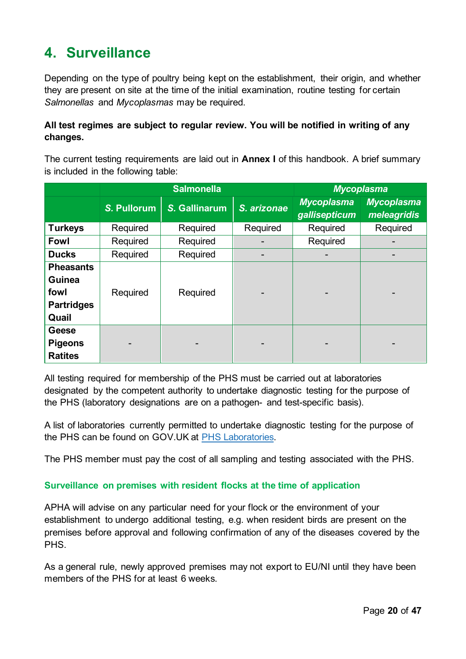## <span id="page-19-0"></span>**4. Surveillance**

Depending on the type of poultry being kept on the establishment, their origin, and whether they are present on site at the time of the initial examination, routine testing for certain *Salmonellas* and *Mycoplasmas* may be required.

#### **All test regimes are subject to regular review. You will be notified in writing of any changes.**

The current testing requirements are laid out in **Annex I** of this handbook. A brief summary is included in the following table:

|                                                                         | <b>Salmonella</b> |               |             | <b>Mycoplasma</b>                  |                                  |
|-------------------------------------------------------------------------|-------------------|---------------|-------------|------------------------------------|----------------------------------|
|                                                                         | S. Pullorum       | S. Gallinarum | S. arizonae | <b>Mycoplasma</b><br>gallisepticum | <b>Mycoplasma</b><br>meleagridis |
| <b>Turkeys</b>                                                          | Required          | Required      | Required    | Required                           | Required                         |
| <b>Fowl</b>                                                             | Required          | Required      |             | Required                           |                                  |
| <b>Ducks</b>                                                            | Required          | Required      |             |                                    |                                  |
| <b>Pheasants</b><br><b>Guinea</b><br>fowl<br><b>Partridges</b><br>Quail | Required          | Required      |             |                                    |                                  |
| <b>Geese</b><br><b>Pigeons</b><br><b>Ratites</b>                        |                   |               |             |                                    |                                  |

All testing required for membership of the PHS must be carried out at laboratories designated by the competent authority to undertake diagnostic testing for the purpose of the PHS (laboratory designations are on a pathogen- and test-specific basis).

A list of laboratories currently permitted to undertake diagnostic testing for the purpose of the PHS can be found on GOV.UK at [PHS Laboratories.](https://www.gov.uk/government/collections/defra-approved-laboratories-salmonella-poultry-health-animal-by-products-and-rabies)

The PHS member must pay the cost of all sampling and testing associated with the PHS.

#### **Surveillance on premises with resident flocks at the time of application**

APHA will advise on any particular need for your flock or the environment of your establishment to undergo additional testing, e.g. when resident birds are present on the premises before approval and following confirmation of any of the diseases covered by the PHS.

As a general rule, newly approved premises may not export to EU/NI until they have been members of the PHS for at least 6 weeks.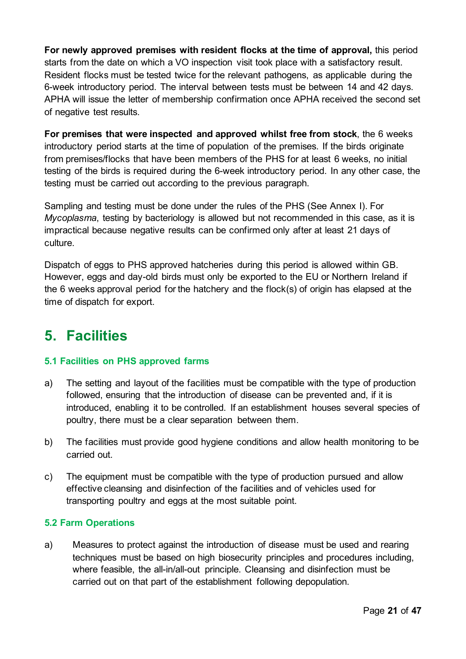**For newly approved premises with resident flocks at the time of approval,** this period starts from the date on which a VO inspection visit took place with a satisfactory result. Resident flocks must be tested twice for the relevant pathogens, as applicable during the 6-week introductory period. The interval between tests must be between 14 and 42 days. APHA will issue the letter of membership confirmation once APHA received the second set of negative test results.

**For premises that were inspected and approved whilst free from stock**, the 6 weeks introductory period starts at the time of population of the premises. If the birds originate from premises/flocks that have been members of the PHS for at least 6 weeks, no initial testing of the birds is required during the 6-week introductory period. In any other case, the testing must be carried out according to the previous paragraph.

Sampling and testing must be done under the rules of the PHS (See Annex I). For *Mycoplasma*, testing by bacteriology is allowed but not recommended in this case, as it is impractical because negative results can be confirmed only after at least 21 days of culture.

Dispatch of eggs to PHS approved hatcheries during this period is allowed within GB. However, eggs and day-old birds must only be exported to the EU or Northern Ireland if the 6 weeks approval period for the hatchery and the flock(s) of origin has elapsed at the time of dispatch for export.

## <span id="page-20-0"></span>**5. Facilities**

#### **5.1 Facilities on PHS approved farms**

- a) The setting and layout of the facilities must be compatible with the type of production followed, ensuring that the introduction of disease can be prevented and, if it is introduced, enabling it to be controlled. If an establishment houses several species of poultry, there must be a clear separation between them.
- b) The facilities must provide good hygiene conditions and allow health monitoring to be carried out.
- c) The equipment must be compatible with the type of production pursued and allow effective cleansing and disinfection of the facilities and of vehicles used for transporting poultry and eggs at the most suitable point.

#### **5.2 Farm Operations**

a) Measures to protect against the introduction of disease must be used and rearing techniques must be based on high biosecurity principles and procedures including, where feasible, the all-in/all-out principle. Cleansing and disinfection must be carried out on that part of the establishment following depopulation.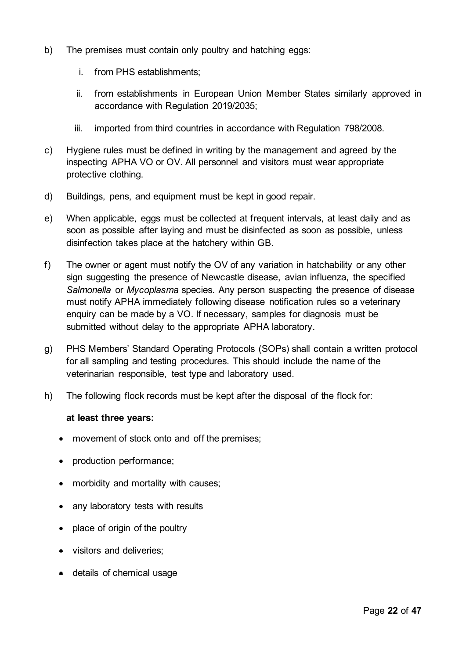- b) The premises must contain only poultry and hatching eggs:
	- i. from PHS establishments;
	- ii. from establishments in European Union Member States similarly approved in accordance with Regulation 2019/2035;
	- iii. imported from third countries in accordance with Regulation 798/2008.
- c) Hygiene rules must be defined in writing by the management and agreed by the inspecting APHA VO or OV. All personnel and visitors must wear appropriate protective clothing.
- d) Buildings, pens, and equipment must be kept in good repair.
- e) When applicable, eggs must be collected at frequent intervals, at least daily and as soon as possible after laying and must be disinfected as soon as possible, unless disinfection takes place at the hatchery within GB.
- f) The owner or agent must notify the OV of any variation in hatchability or any other sign suggesting the presence of Newcastle disease, avian influenza, the specified *Salmonella* or *Mycoplasma* species. Any person suspecting the presence of disease must notify APHA immediately following disease notification rules so a veterinary enquiry can be made by a VO. If necessary, samples for diagnosis must be submitted without delay to the appropriate APHA laboratory.
- g) PHS Members' Standard Operating Protocols (SOPs) shall contain a written protocol for all sampling and testing procedures. This should include the name of the veterinarian responsible, test type and laboratory used.
- h) The following flock records must be kept after the disposal of the flock for:

#### **at least three years:**

- movement of stock onto and off the premises;
- production performance;
- morbidity and mortality with causes;
- any laboratory tests with results
- place of origin of the poultry
- visitors and deliveries;
- details of chemical usage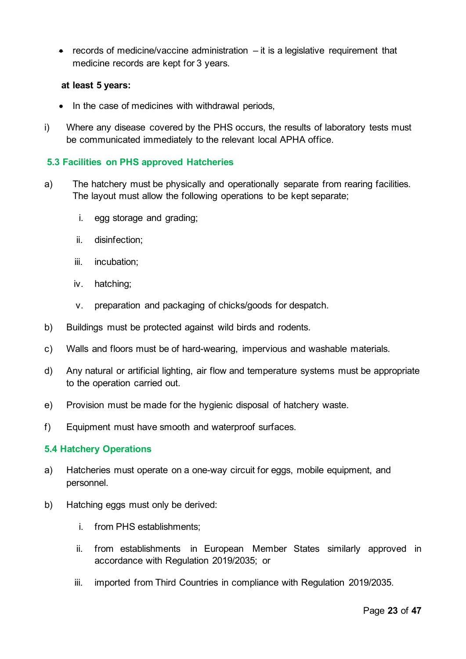• records of medicine/vaccine administration  $-$  it is a legislative requirement that medicine records are kept for 3 years.

#### **at least 5 years:**

- In the case of medicines with withdrawal periods,
- i) Where any disease covered by the PHS occurs, the results of laboratory tests must be communicated immediately to the relevant local APHA office.

#### **5.3 Facilities on PHS approved Hatcheries**

- a) The hatchery must be physically and operationally separate from rearing facilities. The layout must allow the following operations to be kept separate;
	- i. egg storage and grading;
	- ii. disinfection;
	- iii. incubation;
	- iv. hatching;
	- v. preparation and packaging of chicks/goods for despatch.
- b) Buildings must be protected against wild birds and rodents.
- c) Walls and floors must be of hard-wearing, impervious and washable materials.
- d) Any natural or artificial lighting, air flow and temperature systems must be appropriate to the operation carried out.
- e) Provision must be made for the hygienic disposal of hatchery waste.
- f) Equipment must have smooth and waterproof surfaces.

#### **5.4 Hatchery Operations**

- a) Hatcheries must operate on a one-way circuit for eggs, mobile equipment, and personnel.
- b) Hatching eggs must only be derived:
	- i. from PHS establishments;
	- ii. from establishments in European Member States similarly approved in accordance with Regulation 2019/2035; or
	- iii. imported from Third Countries in compliance with Regulation 2019/2035.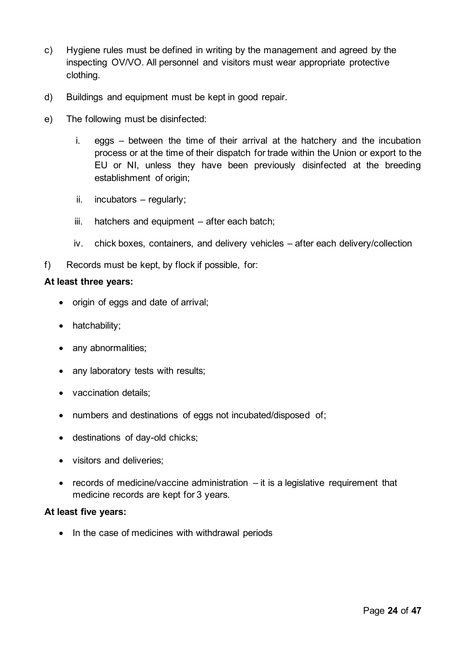- c) Hygiene rules must be defined in writing by the management and agreed by the inspecting OV/VO. All personnel and visitors must wear appropriate protective clothing.
- d) Buildings and equipment must be kept in good repair.
- e) The following must be disinfected:
	- i. eggs between the time of their arrival at the hatchery and the incubation process or at the time of their dispatch for trade within the Union or export to the EU or NI, unless they have been previously disinfected at the breeding establishment of origin:
	- ii. incubators regularly;
	- iii. hatchers and equipment after each batch;
	- iv. chick boxes, containers, and delivery vehicles after each delivery/collection
- f) Records must be kept, by flock if possible, for:

#### **At least three years:**

- origin of eggs and date of arrival;
- hatchability;
- any abnormalities;
- any laboratory tests with results;
- vaccination details;
- numbers and destinations of eggs not incubated/disposed of;
- destinations of day-old chicks;
- visitors and deliveries;
- records of medicine/vaccine administration it is a legislative requirement that medicine records are kept for 3 years.

#### **At least five years:**

• In the case of medicines with withdrawal periods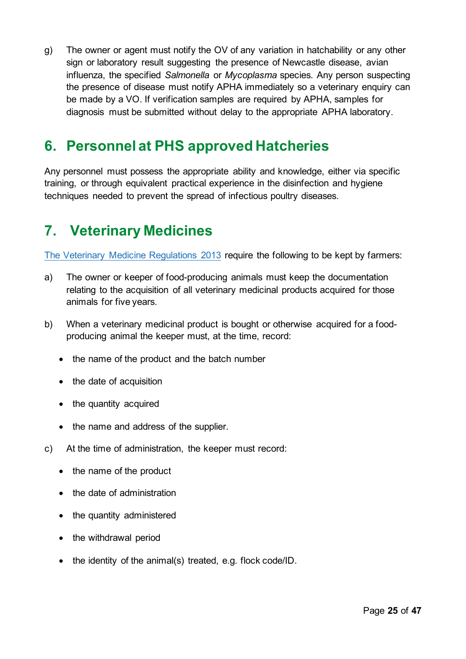g) The owner or agent must notify the OV of any variation in hatchability or any other sign or laboratory result suggesting the presence of Newcastle disease, avian influenza, the specified *Salmonella* or *Mycoplasma* species. Any person suspecting the presence of disease must notify APHA immediately so a veterinary enquiry can be made by a VO. If verification samples are required by APHA, samples for diagnosis must be submitted without delay to the appropriate APHA laboratory.

### <span id="page-24-0"></span>**6. Personnel at PHS approved Hatcheries**

Any personnel must possess the appropriate ability and knowledge, either via specific training, or through equivalent practical experience in the disinfection and hygiene techniques needed to prevent the spread of infectious poultry diseases.

### <span id="page-24-1"></span>**7. Veterinary Medicines**

[The Veterinary Medicine Regulations 2013](https://www.gov.uk/guidance/veterinary-medicines-regulations) require the following to be kept by farmers:

- a) The owner or keeper of food-producing animals must keep the documentation relating to the acquisition of all veterinary medicinal products acquired for those animals for five years.
- b) When a veterinary medicinal product is bought or otherwise acquired for a foodproducing animal the keeper must, at the time, record:
	- the name of the product and the batch number
	- the date of acquisition
	- the quantity acquired
	- the name and address of the supplier.
- c) At the time of administration, the keeper must record:
	- the name of the product
	- the date of administration
	- the quantity administered
	- the withdrawal period
	- the identity of the animal(s) treated, e.g. flock code/ID.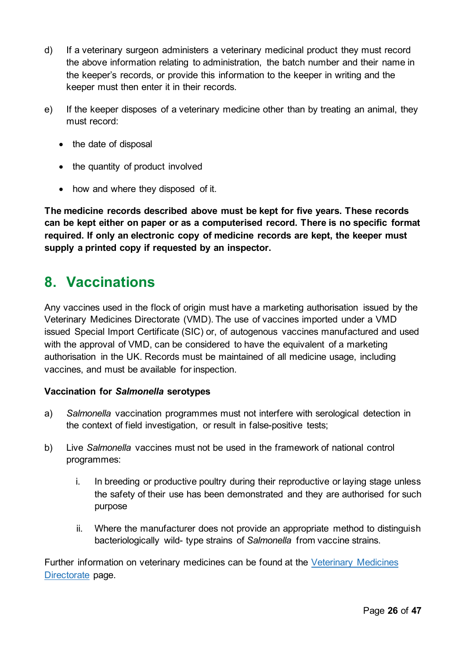- d) If a veterinary surgeon administers a veterinary medicinal product they must record the above information relating to administration, the batch number and their name in the keeper's records, or provide this information to the keeper in writing and the keeper must then enter it in their records.
- e) If the keeper disposes of a veterinary medicine other than by treating an animal, they must record:
	- the date of disposal
	- the quantity of product involved
	- how and where they disposed of it.

**The medicine records described above must be kept for five years. These records can be kept either on paper or as a computerised record. There is no specific format required. If only an electronic copy of medicine records are kept, the keeper must supply a printed copy if requested by an inspector.** 

#### <span id="page-25-0"></span>**8. Vaccinations**

Any vaccines used in the flock of origin must have a marketing authorisation issued by the Veterinary Medicines Directorate (VMD). The use of vaccines imported under a VMD issued Special Import Certificate (SIC) or, of autogenous vaccines manufactured and used with the approval of VMD, can be considered to have the equivalent of a marketing authorisation in the UK. Records must be maintained of all medicine usage, including vaccines, and must be available for inspection.

#### **Vaccination for** *Salmonella* **serotypes**

- a) *Salmonella* vaccination programmes must not interfere with serological detection in the context of field investigation, or result in false-positive tests;
- b) Live *Salmonella* vaccines must not be used in the framework of national control programmes:
	- i. In breeding or productive poultry during their reproductive or laying stage unless the safety of their use has been demonstrated and they are authorised for such purpose
	- ii. Where the manufacturer does not provide an appropriate method to distinguish bacteriologically wild- type strains of *Salmonella* from vaccine strains.

Further information on veterinary medicines can be found at the [Veterinary Medicines](http://www.vmd.defra.gov.uk/public/vmr.aspx)  [Directorate](http://www.vmd.defra.gov.uk/public/vmr.aspx) page.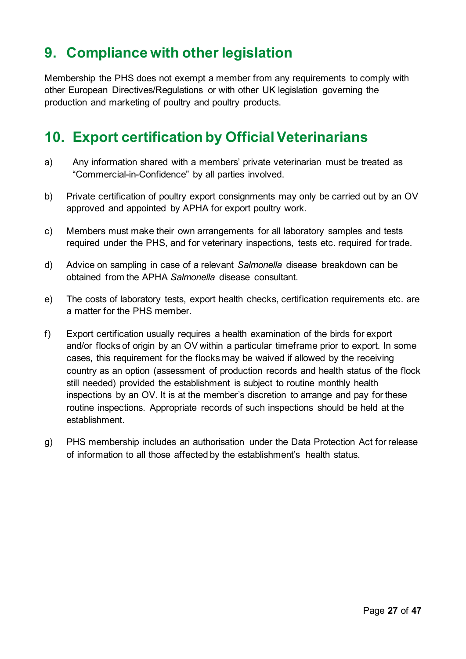### <span id="page-26-0"></span>**9. Compliance with other legislation**

Membership the PHS does not exempt a member from any requirements to comply with other European Directives/Regulations or with other UK legislation governing the production and marketing of poultry and poultry products.

### <span id="page-26-1"></span>**10. Export certification by Official Veterinarians**

- a) Any information shared with a members' private veterinarian must be treated as "Commercial-in-Confidence" by all parties involved.
- b) Private certification of poultry export consignments may only be carried out by an OV approved and appointed by APHA for export poultry work.
- c) Members must make their own arrangements for all laboratory samples and tests required under the PHS, and for veterinary inspections, tests etc. required for trade.
- d) Advice on sampling in case of a relevant *Salmonella* disease breakdown can be obtained from the APHA *Salmonella* disease consultant.
- e) The costs of laboratory tests, export health checks, certification requirements etc. are a matter for the PHS member.
- f) Export certification usually requires a health examination of the birds for export and/or flocks of origin by an OV within a particular timeframe prior to export. In some cases, this requirement for the flocks may be waived if allowed by the receiving country as an option (assessment of production records and health status of the flock still needed) provided the establishment is subject to routine monthly health inspections by an OV. It is at the member's discretion to arrange and pay for these routine inspections. Appropriate records of such inspections should be held at the establishment.
- g) PHS membership includes an authorisation under the Data Protection Act for release of information to all those affected by the establishment's health status.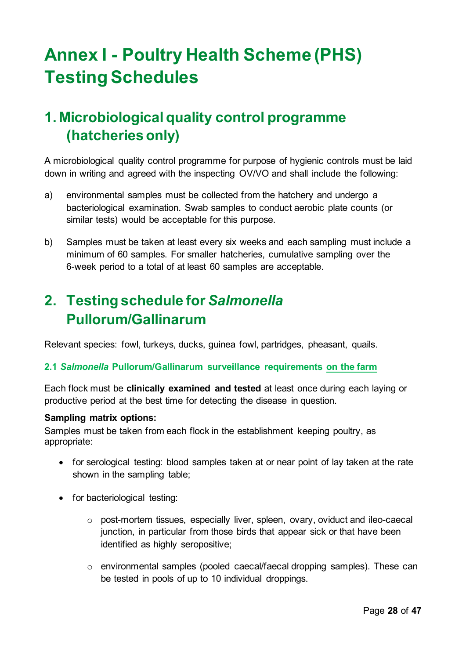# <span id="page-27-0"></span>**Annex I - Poultry Health Scheme (PHS) Testing Schedules**

# <span id="page-27-1"></span>**1. Microbiological quality control programme (hatcheries only)**

A microbiological quality control programme for purpose of hygienic controls must be laid down in writing and agreed with the inspecting OV/VO and shall include the following:

- a) environmental samples must be collected from the hatchery and undergo a bacteriological examination. Swab samples to conduct aerobic plate counts (or similar tests) would be acceptable for this purpose.
- b) Samples must be taken at least every six weeks and each sampling must include a minimum of 60 samples. For smaller hatcheries, cumulative sampling over the 6-week period to a total of at least 60 samples are acceptable.

## <span id="page-27-2"></span>**2. Testing schedule for** *Salmonella*  **Pullorum/Gallinarum**

Relevant species: fowl, turkeys, ducks, guinea fowl, partridges, pheasant, quails.

#### **2.1** *Salmonella* **Pullorum/Gallinarum surveillance requirements on the farm**

Each flock must be **clinically examined and tested** at least once during each laying or productive period at the best time for detecting the disease in question.

#### **Sampling matrix options:**

Samples must be taken from each flock in the establishment keeping poultry, as appropriate:

- for serological testing: blood samples taken at or near point of lay taken at the rate shown in the sampling table;
- for bacteriological testing:
	- o post-mortem tissues, especially liver, spleen, ovary, oviduct and ileo-caecal junction, in particular from those birds that appear sick or that have been identified as highly seropositive;
	- o environmental samples (pooled caecal/faecal dropping samples). These can be tested in pools of up to 10 individual droppings.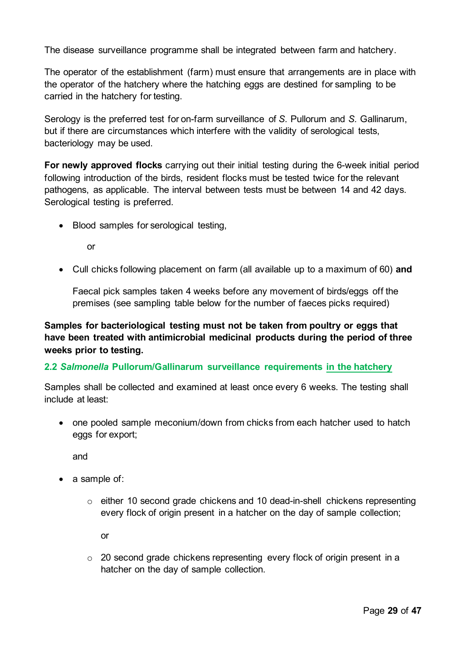The disease surveillance programme shall be integrated between farm and hatchery.

The operator of the establishment (farm) must ensure that arrangements are in place with the operator of the hatchery where the hatching eggs are destined for sampling to be carried in the hatchery for testing.

Serology is the preferred test for on-farm surveillance of *S.* Pullorum and *S.* Gallinarum, but if there are circumstances which interfere with the validity of serological tests, bacteriology may be used.

**For newly approved flocks** carrying out their initial testing during the 6-week initial period following introduction of the birds, resident flocks must be tested twice for the relevant pathogens, as applicable. The interval between tests must be between 14 and 42 days. Serological testing is preferred.

• Blood samples for serological testing,

or

• Cull chicks following placement on farm (all available up to a maximum of 60) **and**

Faecal pick samples taken 4 weeks before any movement of birds/eggs off the premises (see sampling table below for the number of faeces picks required)

**Samples for bacteriological testing must not be taken from poultry or eggs that have been treated with antimicrobial medicinal products during the period of three weeks prior to testing.**

#### **2.2** *Salmonella* **Pullorum/Gallinarum surveillance requirements in the hatchery**

Samples shall be collected and examined at least once every 6 weeks. The testing shall include at least:

• one pooled sample meconium/down from chicks from each hatcher used to hatch eggs for export;

and

- a sample of:
	- $\circ$  either 10 second grade chickens and 10 dead-in-shell chickens representing every flock of origin present in a hatcher on the day of sample collection;

or

o 20 second grade chickens representing every flock of origin present in a hatcher on the day of sample collection.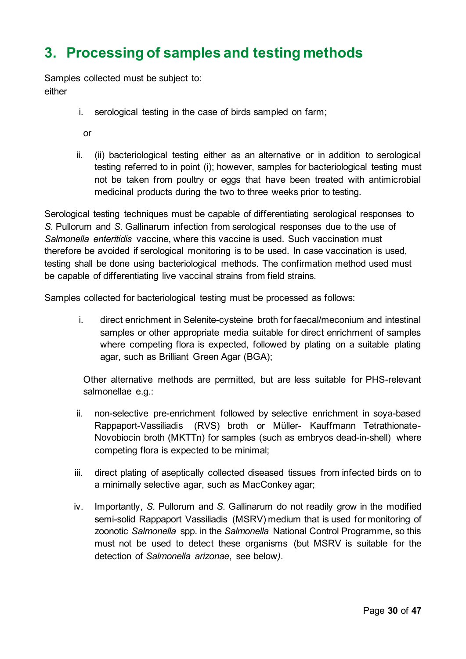## <span id="page-29-0"></span>**3. Processing of samples and testing methods**

Samples collected must be subject to: either

- i. serological testing in the case of birds sampled on farm;
	- or
- ii. (ii) bacteriological testing either as an alternative or in addition to serological testing referred to in point (i); however, samples for bacteriological testing must not be taken from poultry or eggs that have been treated with antimicrobial medicinal products during the two to three weeks prior to testing.

Serological testing techniques must be capable of differentiating serological responses to *S.* Pullorum and *S.* Gallinarum infection from serological responses due to the use of *Salmonella enteritidis* vaccine, where this vaccine is used. Such vaccination must therefore be avoided if serological monitoring is to be used. In case vaccination is used, testing shall be done using bacteriological methods. The confirmation method used must be capable of differentiating live vaccinal strains from field strains.

Samples collected for bacteriological testing must be processed as follows:

i. direct enrichment in Selenite-cysteine broth for faecal/meconium and intestinal samples or other appropriate media suitable for direct enrichment of samples where competing flora is expected, followed by plating on a suitable plating agar, such as Brilliant Green Agar (BGA);

Other alternative methods are permitted, but are less suitable for PHS-relevant salmonellae e.g.:

- ii. non-selective pre-enrichment followed by selective enrichment in soya-based Rappaport-Vassiliadis (RVS) broth or Müller- Kauffmann Tetrathionate-Novobiocin broth (MKTTn) for samples (such as embryos dead-in-shell) where competing flora is expected to be minimal;
- iii. direct plating of aseptically collected diseased tissues from infected birds on to a minimally selective agar, such as MacConkey agar;
- iv. Importantly, *S.* Pullorum and *S.* Gallinarum do not readily grow in the modified semi-solid Rappaport Vassiliadis (MSRV) medium that is used for monitoring of zoonotic *Salmonella* spp. in the *Salmonella* National Control Programme, so this must not be used to detect these organisms (but MSRV is suitable for the detection of *Salmonella arizonae*, see below*)*.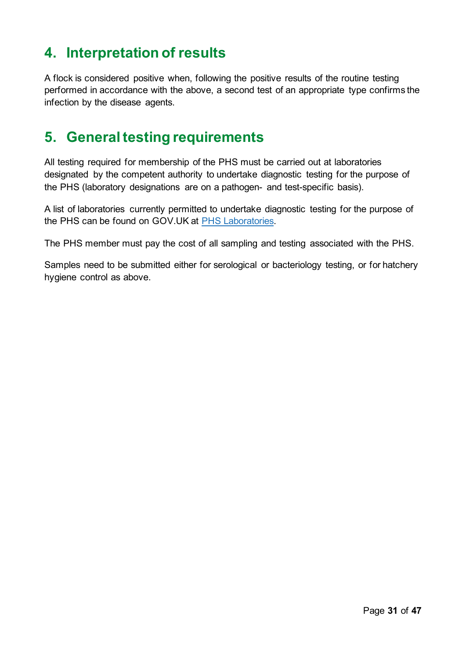## <span id="page-30-0"></span>**4. Interpretation of results**

A flock is considered positive when, following the positive results of the routine testing performed in accordance with the above, a second test of an appropriate type confirms the infection by the disease agents.

### <span id="page-30-1"></span>**5. General testing requirements**

All testing required for membership of the PHS must be carried out at laboratories designated by the competent authority to undertake diagnostic testing for the purpose of the PHS (laboratory designations are on a pathogen- and test-specific basis).

A list of laboratories currently permitted to undertake diagnostic testing for the purpose of the PHS can be found on GOV.UK at [PHS Laboratories.](https://www.gov.uk/government/collections/defra-approved-laboratories-salmonella-poultry-health-animal-by-products-and-rabies)

The PHS member must pay the cost of all sampling and testing associated with the PHS.

Samples need to be submitted either for serological or bacteriology testing, or for hatchery hygiene control as above.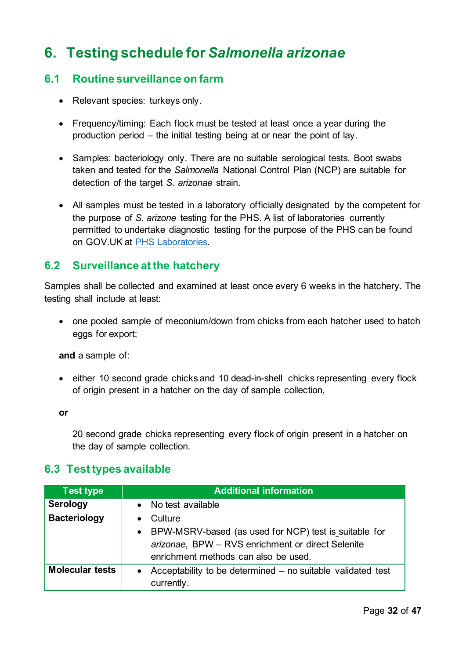## <span id="page-31-0"></span>**6. Testing schedule for** *Salmonella arizonae*

#### **6.1 Routine surveillance on farm**

- Relevant species: turkeys only.
- Frequency/timing: Each flock must be tested at least once a year during the production period – the initial testing being at or near the point of lay.
- Samples: bacteriology only. There are no suitable serological tests. Boot swabs taken and tested for the *Salmonella* National Control Plan (NCP) are suitable for detection of the target *S. arizonae* strain.
- All samples must be tested in a laboratory officially designated by the competent for the purpose of *S. arizone* testing for the PHS. A list of laboratories currently permitted to undertake diagnostic testing for the purpose of the PHS can be found on GOV.UK at [PHS Laboratories.](https://www.gov.uk/government/collections/defra-approved-laboratories-salmonella-poultry-health-animal-by-products-and-rabies)

#### **6.2 Surveillance at the hatchery**

Samples shall be collected and examined at least once every 6 weeks in the hatchery. The testing shall include at least:

• one pooled sample of meconium/down from chicks from each hatcher used to hatch eggs for export;

**and** a sample of:

• either 10 second grade chicks and 10 dead-in-shell chicks representing every flock of origin present in a hatcher on the day of sample collection,

**or** 

20 second grade chicks representing every flock of origin present in a hatcher on the day of sample collection.

#### **6.3 Test types available**

| <b>Test type</b>       | <b>Additional information</b>                                            |
|------------------------|--------------------------------------------------------------------------|
| <b>Serology</b>        | • No test available                                                      |
| <b>Bacteriology</b>    | Culture<br>$\bullet$                                                     |
|                        | • BPW-MSRV-based (as used for NCP) test is suitable for                  |
|                        | arizonae, BPW - RVS enrichment or direct Selenite                        |
|                        | enrichment methods can also be used.                                     |
| <b>Molecular tests</b> | Acceptability to be determined – no suitable validated test<br>$\bullet$ |
|                        | currently.                                                               |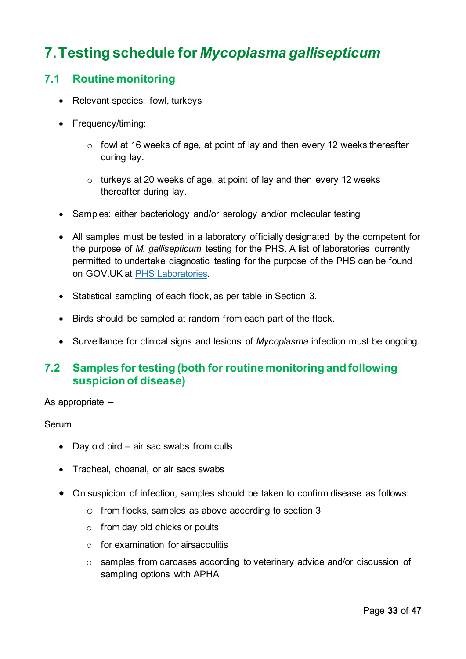# <span id="page-32-0"></span>**7.Testing schedule for** *Mycoplasma gallisepticum*

#### **7.1 Routine monitoring**

- Relevant species: fowl, turkeys
- Frequency/timing:
	- o fowl at 16 weeks of age, at point of lay and then every 12 weeks thereafter during lay.
	- o turkeys at 20 weeks of age, at point of lay and then every 12 weeks thereafter during lay.
- Samples: either bacteriology and/or serology and/or molecular testing
- All samples must be tested in a laboratory officially designated by the competent for the purpose of *M. gallisepticum* testing for the PHS. A list of laboratories currently permitted to undertake diagnostic testing for the purpose of the PHS can be found on GOV.UK at [PHS Laboratories.](https://www.gov.uk/government/collections/defra-approved-laboratories-salmonella-poultry-health-animal-by-products-and-rabies)
- Statistical sampling of each flock, as per table in Section 3.
- Birds should be sampled at random from each part of the flock.
- Surveillance for clinical signs and lesions of *Mycoplasma* infection must be ongoing.

#### **7.2 Samples for testing (both for routine monitoring and following suspicion of disease)**

As appropriate –

#### Serum

- Day old bird air sac swabs from culls
- Tracheal, choanal, or air sacs swabs
- On suspicion of infection, samples should be taken to confirm disease as follows:
	- o from flocks, samples as above according to section 3
	- o from day old chicks or poults
	- $\circ$  for examination for airsacculitis
	- o samples from carcases according to veterinary advice and/or discussion of sampling options with APHA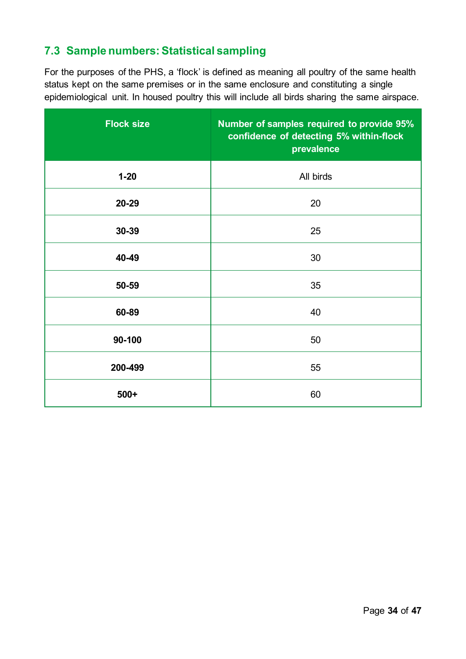#### **7.3 Sample numbers: Statistical sampling**

For the purposes of the PHS, a 'flock' is defined as meaning all poultry of the same health status kept on the same premises or in the same enclosure and constituting a single epidemiological unit. In housed poultry this will include all birds sharing the same airspace.

| <b>Flock size</b> | Number of samples required to provide 95%<br>confidence of detecting 5% within-flock<br>prevalence |
|-------------------|----------------------------------------------------------------------------------------------------|
| $1 - 20$          | All birds                                                                                          |
| 20-29             | 20                                                                                                 |
| 30-39             | 25                                                                                                 |
| 40-49             | 30                                                                                                 |
| 50-59             | 35                                                                                                 |
| 60-89             | 40                                                                                                 |
| 90-100            | 50                                                                                                 |
| 200-499           | 55                                                                                                 |
| $500+$            | 60                                                                                                 |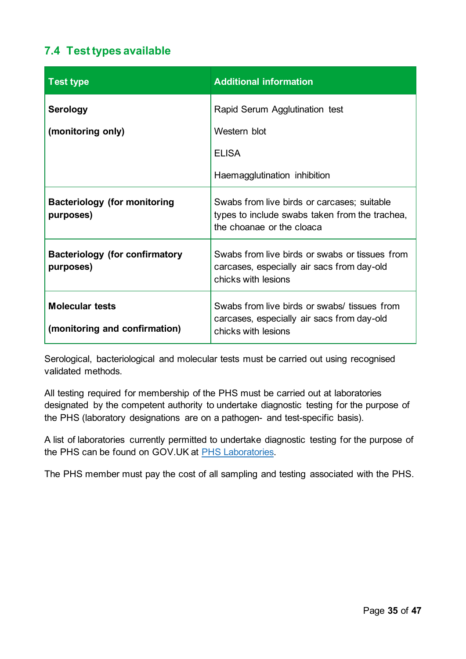#### **7.4 Test types available**

| <b>Test type</b>                                        | <b>Additional information</b>                                                                                              |
|---------------------------------------------------------|----------------------------------------------------------------------------------------------------------------------------|
| <b>Serology</b>                                         | Rapid Serum Agglutination test                                                                                             |
| (monitoring only)                                       | Western blot                                                                                                               |
|                                                         | <b>ELISA</b>                                                                                                               |
|                                                         | Haemagglutination inhibition                                                                                               |
| <b>Bacteriology (for monitoring</b><br>purposes)        | Swabs from live birds or carcases; suitable<br>types to include swabs taken from the trachea,<br>the choanae or the cloaca |
| <b>Bacteriology (for confirmatory</b><br>purposes)      | Swabs from live birds or swabs or tissues from<br>carcases, especially air sacs from day-old<br>chicks with lesions        |
| <b>Molecular tests</b><br>(monitoring and confirmation) | Swabs from live birds or swabs/ tissues from<br>carcases, especially air sacs from day-old<br>chicks with lesions          |

Serological, bacteriological and molecular tests must be carried out using recognised validated methods.

All testing required for membership of the PHS must be carried out at laboratories designated by the competent authority to undertake diagnostic testing for the purpose of the PHS (laboratory designations are on a pathogen- and test-specific basis).

A list of laboratories currently permitted to undertake diagnostic testing for the purpose of the PHS can be found on GOV.UK at [PHS Laboratories.](https://www.gov.uk/government/collections/defra-approved-laboratories-salmonella-poultry-health-animal-by-products-and-rabies)

The PHS member must pay the cost of all sampling and testing associated with the PHS.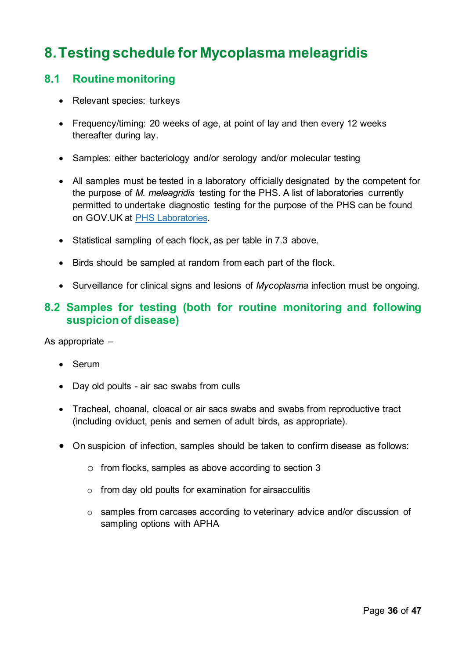## <span id="page-35-0"></span>**8.Testing schedule for Mycoplasma meleagridis**

#### **8.1 Routine monitoring**

- Relevant species: turkeys
- Frequency/timing: 20 weeks of age, at point of lay and then every 12 weeks thereafter during lay.
- Samples: either bacteriology and/or serology and/or molecular testing
- All samples must be tested in a laboratory officially designated by the competent for the purpose of *M. meleagridis* testing for the PHS. A list of laboratories currently permitted to undertake diagnostic testing for the purpose of the PHS can be found on GOV.UK at [PHS Laboratories.](https://www.gov.uk/government/collections/defra-approved-laboratories-salmonella-poultry-health-animal-by-products-and-rabies)
- Statistical sampling of each flock, as per table in 7.3 above.
- Birds should be sampled at random from each part of the flock.
- Surveillance for clinical signs and lesions of *Mycoplasma* infection must be ongoing.

#### **8.2 Samples for testing (both for routine monitoring and following suspicion of disease)**

As appropriate –

- Serum
- Day old poults air sac swabs from culls
- Tracheal, choanal, cloacal or air sacs swabs and swabs from reproductive tract (including oviduct, penis and semen of adult birds, as appropriate).
- On suspicion of infection, samples should be taken to confirm disease as follows:
	- o from flocks, samples as above according to section 3
	- $\circ$  from day old poults for examination for airsacculitis
	- o samples from carcases according to veterinary advice and/or discussion of sampling options with APHA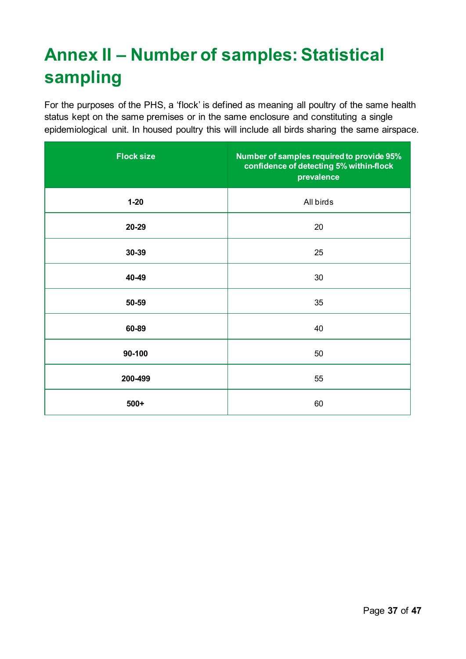# <span id="page-36-0"></span>**Annex II – Number of samples: Statistical sampling**

For the purposes of the PHS, a 'flock' is defined as meaning all poultry of the same health status kept on the same premises or in the same enclosure and constituting a single epidemiological unit. In housed poultry this will include all birds sharing the same airspace.

| <b>Flock size</b> | Number of samples required to provide 95%<br>confidence of detecting 5% within-flock<br>prevalence |
|-------------------|----------------------------------------------------------------------------------------------------|
| $1 - 20$          | All birds                                                                                          |
| 20-29             | 20                                                                                                 |
| 30-39             | 25                                                                                                 |
| 40-49             | 30                                                                                                 |
| 50-59             | 35                                                                                                 |
| 60-89             | 40                                                                                                 |
| 90-100            | 50                                                                                                 |
| 200-499           | 55                                                                                                 |
| $500+$            | 60                                                                                                 |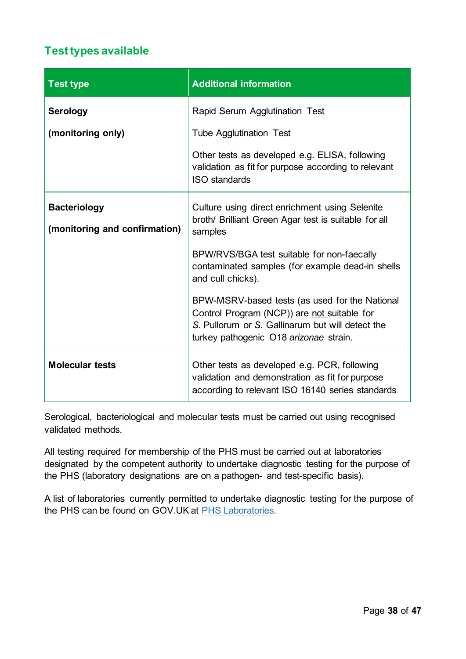#### **Test types available**

| <b>Test type</b>                                     | <b>Additional information</b>                                                                                                                                                               |
|------------------------------------------------------|---------------------------------------------------------------------------------------------------------------------------------------------------------------------------------------------|
| <b>Serology</b>                                      | Rapid Serum Agglutination Test                                                                                                                                                              |
| (monitoring only)                                    | <b>Tube Agglutination Test</b>                                                                                                                                                              |
|                                                      | Other tests as developed e.g. ELISA, following<br>validation as fit for purpose according to relevant<br><b>ISO</b> standards                                                               |
| <b>Bacteriology</b><br>(monitoring and confirmation) | Culture using direct enrichment using Selenite<br>broth/ Brilliant Green Agar test is suitable for all<br>samples                                                                           |
|                                                      | BPW/RVS/BGA test suitable for non-faecally<br>contaminated samples (for example dead-in shells<br>and cull chicks).                                                                         |
|                                                      | BPW-MSRV-based tests (as used for the National<br>Control Program (NCP)) are not suitable for<br>S. Pullorum or S. Gallinarum but will detect the<br>turkey pathogenic O18 arizonae strain. |
| <b>Molecular tests</b>                               | Other tests as developed e.g. PCR, following<br>validation and demonstration as fit for purpose<br>according to relevant ISO 16140 series standards                                         |

Serological, bacteriological and molecular tests must be carried out using recognised validated methods.

All testing required for membership of the PHS must be carried out at laboratories designated by the competent authority to undertake diagnostic testing for the purpose of the PHS (laboratory designations are on a pathogen- and test-specific basis).

A list of laboratories currently permitted to undertake diagnostic testing for the purpose of the PHS can be found on GOV.UK at [PHS Laboratories.](https://www.gov.uk/government/collections/defra-approved-laboratories-salmonella-poultry-health-animal-by-products-and-rabies)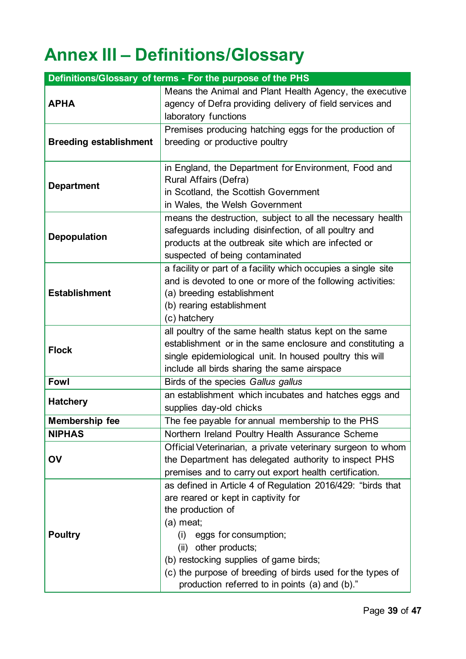# <span id="page-38-0"></span>**Annex III – Definitions/Glossary**

| Definitions/Glossary of terms - For the purpose of the PHS |                                                               |  |  |
|------------------------------------------------------------|---------------------------------------------------------------|--|--|
|                                                            | Means the Animal and Plant Health Agency, the executive       |  |  |
| <b>APHA</b>                                                | agency of Defra providing delivery of field services and      |  |  |
|                                                            | laboratory functions                                          |  |  |
|                                                            | Premises producing hatching eggs for the production of        |  |  |
| <b>Breeding establishment</b>                              | breeding or productive poultry                                |  |  |
|                                                            |                                                               |  |  |
|                                                            | in England, the Department for Environment, Food and          |  |  |
| <b>Department</b>                                          | Rural Affairs (Defra)                                         |  |  |
|                                                            | in Scotland, the Scottish Government                          |  |  |
|                                                            | in Wales, the Welsh Government                                |  |  |
|                                                            | means the destruction, subject to all the necessary health    |  |  |
|                                                            | safeguards including disinfection, of all poultry and         |  |  |
| <b>Depopulation</b>                                        | products at the outbreak site which are infected or           |  |  |
|                                                            | suspected of being contaminated                               |  |  |
|                                                            | a facility or part of a facility which occupies a single site |  |  |
|                                                            | and is devoted to one or more of the following activities:    |  |  |
| <b>Establishment</b>                                       | (a) breeding establishment                                    |  |  |
|                                                            | (b) rearing establishment                                     |  |  |
|                                                            | (c) hatchery                                                  |  |  |
|                                                            | all poultry of the same health status kept on the same        |  |  |
|                                                            | establishment or in the same enclosure and constituting a     |  |  |
| <b>Flock</b>                                               | single epidemiological unit. In housed poultry this will      |  |  |
|                                                            | include all birds sharing the same airspace                   |  |  |
| <b>Fowl</b>                                                | Birds of the species Gallus gallus                            |  |  |
|                                                            | an establishment which incubates and hatches eggs and         |  |  |
| <b>Hatchery</b>                                            | supplies day-old chicks                                       |  |  |
| <b>Membership fee</b>                                      | The fee payable for annual membership to the PHS              |  |  |
| <b>NIPHAS</b>                                              | Northern Ireland Poultry Health Assurance Scheme              |  |  |
|                                                            | Official Veterinarian, a private veterinary surgeon to whom   |  |  |
| OV                                                         | the Department has delegated authority to inspect PHS         |  |  |
|                                                            | premises and to carry out export health certification.        |  |  |
|                                                            | as defined in Article 4 of Regulation 2016/429: "birds that   |  |  |
|                                                            | are reared or kept in captivity for                           |  |  |
|                                                            | the production of                                             |  |  |
|                                                            | $(a)$ meat;                                                   |  |  |
| <b>Poultry</b>                                             | eggs for consumption;<br>(i)                                  |  |  |
|                                                            | other products;<br>(ii)                                       |  |  |
|                                                            | (b) restocking supplies of game birds;                        |  |  |
|                                                            | (c) the purpose of breeding of birds used for the types of    |  |  |
|                                                            | production referred to in points (a) and (b)."                |  |  |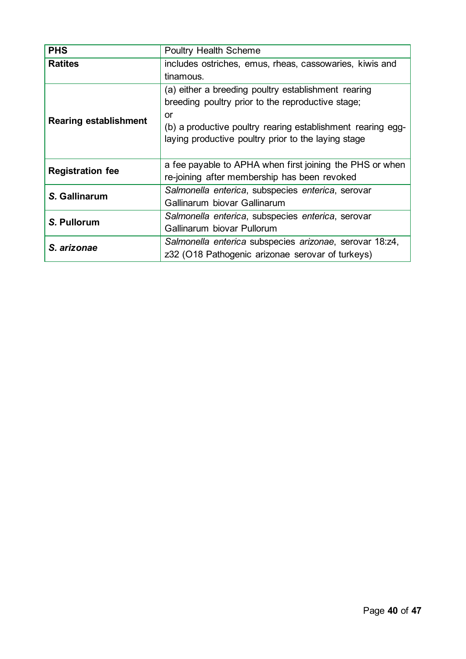| <b>PHS</b>                   | <b>Poultry Health Scheme</b>                                |  |
|------------------------------|-------------------------------------------------------------|--|
| <b>Ratites</b>               | includes ostriches, emus, rheas, cassowaries, kiwis and     |  |
|                              | tinamous.                                                   |  |
|                              | (a) either a breeding poultry establishment rearing         |  |
|                              | breeding poultry prior to the reproductive stage;           |  |
|                              | or                                                          |  |
| <b>Rearing establishment</b> | (b) a productive poultry rearing establishment rearing egg- |  |
|                              | laying productive poultry prior to the laying stage         |  |
|                              |                                                             |  |
| <b>Registration fee</b>      | a fee payable to APHA when first joining the PHS or when    |  |
|                              | re-joining after membership has been revoked                |  |
| S. Gallinarum                | Salmonella enterica, subspecies enterica, serovar           |  |
|                              | Gallinarum biovar Gallinarum                                |  |
| S. Pullorum                  | Salmonella enterica, subspecies enterica, serovar           |  |
|                              | Gallinarum biovar Pullorum                                  |  |
| S. arizonae                  | Salmonella enterica subspecies arizonae, serovar 18:z4,     |  |
|                              | z32 (O18 Pathogenic arizonae serovar of turkeys)            |  |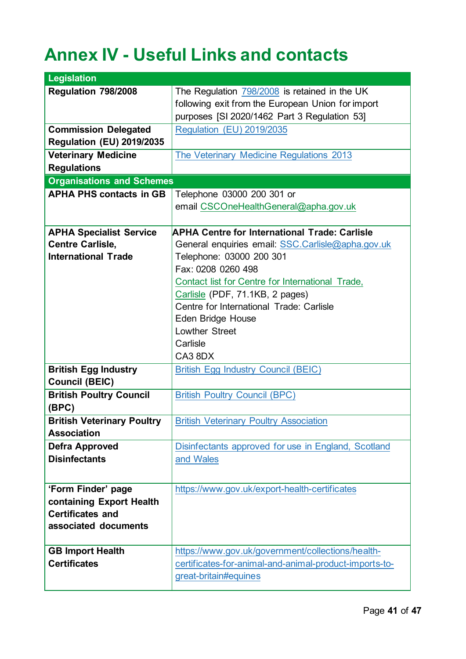# <span id="page-40-0"></span>**Annex IV - Useful Links and contacts**

| <b>Legislation</b>                |                                                        |
|-----------------------------------|--------------------------------------------------------|
| Regulation 798/2008               | The Regulation 798/2008 is retained in the UK          |
|                                   | following exit from the European Union for import      |
|                                   | purposes [SI 2020/1462 Part 3 Regulation 53]           |
| <b>Commission Delegated</b>       | Regulation (EU) 2019/2035                              |
| <b>Regulation (EU) 2019/2035</b>  |                                                        |
| <b>Veterinary Medicine</b>        | The Veterinary Medicine Regulations 2013               |
| <b>Regulations</b>                |                                                        |
| <b>Organisations and Schemes</b>  |                                                        |
| <b>APHA PHS contacts in GB</b>    | Telephone 03000 200 301 or                             |
|                                   | email CSCOneHealthGeneral@apha.gov.uk                  |
|                                   |                                                        |
| <b>APHA Specialist Service</b>    | <b>APHA Centre for International Trade: Carlisle</b>   |
| <b>Centre Carlisle,</b>           | General enquiries email: SSC.Carlisle@apha.gov.uk      |
| <b>International Trade</b>        | Telephone: 03000 200 301                               |
|                                   | Fax: 0208 0260 498                                     |
|                                   | Contact list for Centre for International Trade,       |
|                                   | Carlisle (PDF, 71.1KB, 2 pages)                        |
|                                   | Centre for International Trade: Carlisle               |
|                                   | <b>Eden Bridge House</b>                               |
|                                   | <b>Lowther Street</b>                                  |
|                                   | Carlisle                                               |
|                                   | CA3 8DX                                                |
| <b>British Egg Industry</b>       | <b>British Egg Industry Council (BEIC)</b>             |
| <b>Council (BEIC)</b>             |                                                        |
| <b>British Poultry Council</b>    | <b>British Poultry Council (BPC)</b>                   |
| (BPC)                             |                                                        |
| <b>British Veterinary Poultry</b> | <b>British Veterinary Poultry Association</b>          |
| <b>Association</b>                |                                                        |
| <b>Defra Approved</b>             | Disinfectants approved for use in England, Scotland    |
| <b>Disinfectants</b>              | and Wales                                              |
|                                   |                                                        |
| 'Form Finder' page                | https://www.gov.uk/export-health-certificates          |
| containing Export Health          |                                                        |
| <b>Certificates and</b>           |                                                        |
| associated documents              |                                                        |
|                                   |                                                        |
| <b>GB Import Health</b>           | https://www.gov.uk/government/collections/health-      |
| <b>Certificates</b>               | certificates-for-animal-and-animal-product-imports-to- |
|                                   | great-britain#equines                                  |
|                                   |                                                        |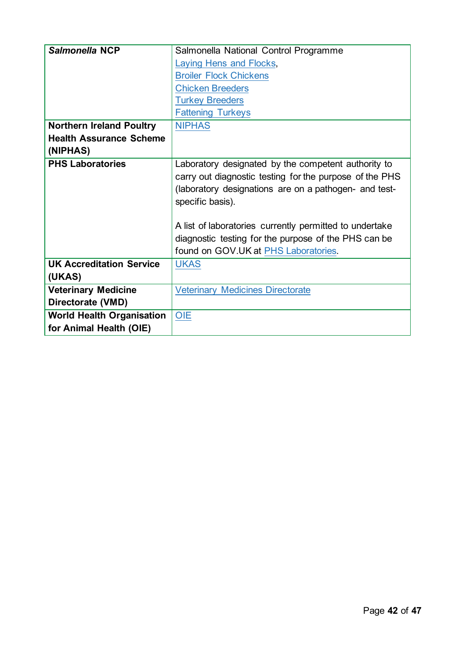| Salmonella NCP                   | Salmonella National Control Programme                   |  |  |  |
|----------------------------------|---------------------------------------------------------|--|--|--|
|                                  | <b>Laying Hens and Flocks,</b>                          |  |  |  |
|                                  | <b>Broiler Flock Chickens</b>                           |  |  |  |
|                                  | <b>Chicken Breeders</b>                                 |  |  |  |
|                                  | <b>Turkey Breeders</b>                                  |  |  |  |
|                                  | <b>Fattening Turkeys</b>                                |  |  |  |
| <b>Northern Ireland Poultry</b>  | <b>NIPHAS</b>                                           |  |  |  |
| <b>Health Assurance Scheme</b>   |                                                         |  |  |  |
| (NIPHAS)                         |                                                         |  |  |  |
| <b>PHS Laboratories</b>          | Laboratory designated by the competent authority to     |  |  |  |
|                                  | carry out diagnostic testing for the purpose of the PHS |  |  |  |
|                                  | (laboratory designations are on a pathogen- and test-   |  |  |  |
|                                  | specific basis).                                        |  |  |  |
|                                  |                                                         |  |  |  |
|                                  | A list of laboratories currently permitted to undertake |  |  |  |
|                                  | diagnostic testing for the purpose of the PHS can be    |  |  |  |
|                                  | found on GOV.UK at PHS Laboratories.                    |  |  |  |
| <b>UK Accreditation Service</b>  | <b>UKAS</b>                                             |  |  |  |
| (UKAS)                           |                                                         |  |  |  |
| <b>Veterinary Medicine</b>       | <b>Veterinary Medicines Directorate</b>                 |  |  |  |
| Directorate (VMD)                |                                                         |  |  |  |
| <b>World Health Organisation</b> | OIE                                                     |  |  |  |
| for Animal Health (OIE)          |                                                         |  |  |  |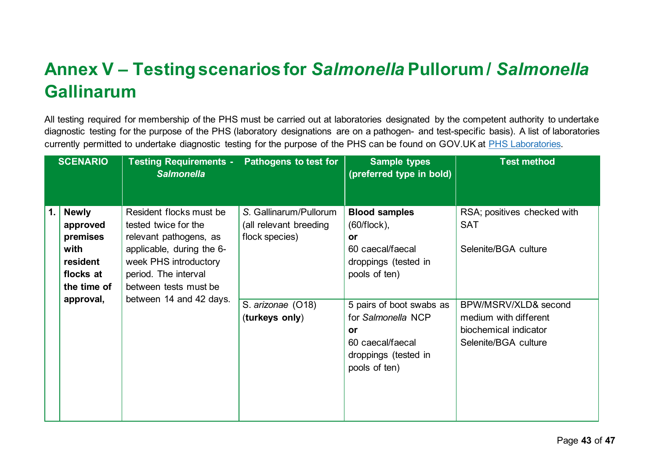# **Annex V – Testing scenarios for** *Salmonella* **Pullorum /** *Salmonella* **Gallinarum**

All testing required for membership of the PHS must be carried out at laboratories designated by the competent authority to undertake diagnostic testing for the purpose of the PHS (laboratory designations are on a pathogen- and test-specific basis). A list of laboratories currently permitted to undertake diagnostic testing for the purpose of the PHS can be found on GOV.UK at [PHS Laboratories.](https://www.gov.uk/government/collections/defra-approved-laboratories-salmonella-poultry-health-animal-by-products-and-rabies)

<span id="page-42-0"></span>

|    | <b>SCENARIO</b>                                                                                                              | Testing Requirements - Pathogens to test for<br><b>Salmonella</b>                                                                                                                |                                                                    | <b>Sample types</b><br>(preferred type in bold)                                                                          | <b>Test method</b>                                                                             |
|----|------------------------------------------------------------------------------------------------------------------------------|----------------------------------------------------------------------------------------------------------------------------------------------------------------------------------|--------------------------------------------------------------------|--------------------------------------------------------------------------------------------------------------------------|------------------------------------------------------------------------------------------------|
| 1. | <b>Newly</b><br>approved<br>premises<br>with<br>resident<br>flocks at<br>the time of<br>between 14 and 42 days.<br>approval, | Resident flocks must be<br>tested twice for the<br>relevant pathogens, as<br>applicable, during the 6-<br>week PHS introductory<br>period. The interval<br>between tests must be | S. Gallinarum/Pullorum<br>(all relevant breeding<br>flock species) | <b>Blood samples</b><br>$(60/flock)$ ,<br><b>or</b><br>60 caecal/faecal<br>droppings (tested in<br>pools of ten)         | RSA; positives checked with<br><b>SAT</b><br>Selenite/BGA culture                              |
|    |                                                                                                                              |                                                                                                                                                                                  | S. arizonae (O18)<br>(turkeys only)                                | 5 pairs of boot swabs as<br>for Salmonella NCP<br><b>or</b><br>60 caecal/faecal<br>droppings (tested in<br>pools of ten) | BPW/MSRV/XLD& second<br>medium with different<br>biochemical indicator<br>Selenite/BGA culture |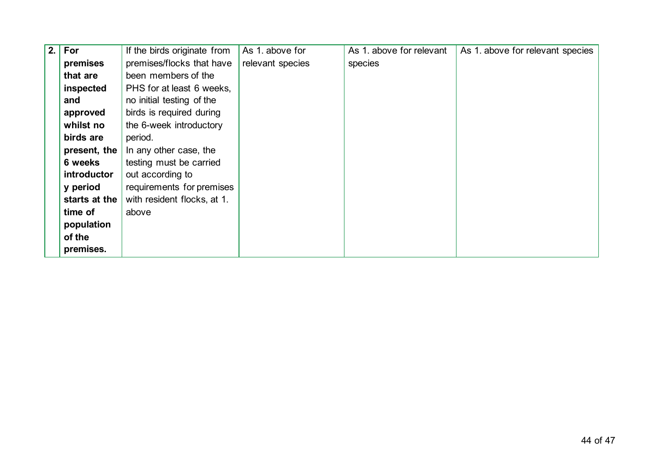| 2. | For           | If the birds originate from | As 1. above for  | As 1. above for relevant | As 1. above for relevant species |
|----|---------------|-----------------------------|------------------|--------------------------|----------------------------------|
|    | premises      | premises/flocks that have   | relevant species | species                  |                                  |
|    | that are      | been members of the         |                  |                          |                                  |
|    | inspected     | PHS for at least 6 weeks,   |                  |                          |                                  |
|    | and           | no initial testing of the   |                  |                          |                                  |
|    | approved      | birds is required during    |                  |                          |                                  |
|    | whilst no     | the 6-week introductory     |                  |                          |                                  |
|    | birds are     | period.                     |                  |                          |                                  |
|    | present, the  | In any other case, the      |                  |                          |                                  |
|    | 6 weeks       | testing must be carried     |                  |                          |                                  |
|    | introductor   | out according to            |                  |                          |                                  |
|    | y period      | requirements for premises   |                  |                          |                                  |
|    | starts at the | with resident flocks, at 1. |                  |                          |                                  |
|    | time of       | above                       |                  |                          |                                  |
|    | population    |                             |                  |                          |                                  |
|    | of the        |                             |                  |                          |                                  |
|    | premises.     |                             |                  |                          |                                  |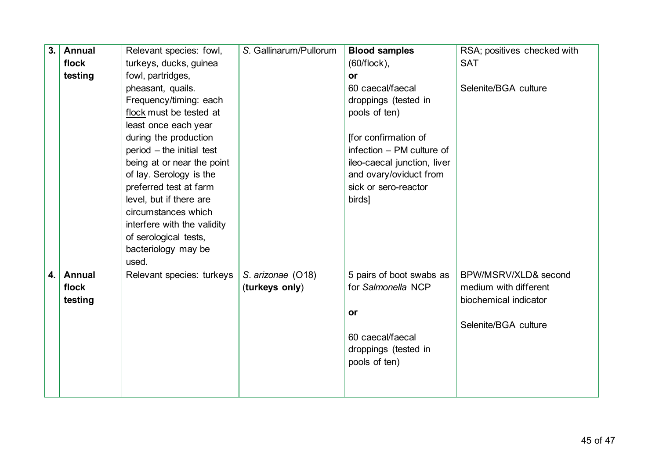| 3. | <b>Annual</b> | Relevant species: fowl,     | S. Gallinarum/Pullorum | <b>Blood samples</b>        | RSA; positives checked with |
|----|---------------|-----------------------------|------------------------|-----------------------------|-----------------------------|
|    | flock         | turkeys, ducks, guinea      |                        | $(60/flock)$ ,              | <b>SAT</b>                  |
|    | testing       | fowl, partridges,           |                        | <b>or</b>                   |                             |
|    |               | pheasant, quails.           |                        | 60 caecal/faecal            | Selenite/BGA culture        |
|    |               | Frequency/timing: each      |                        | droppings (tested in        |                             |
|    |               | flock must be tested at     |                        | pools of ten)               |                             |
|    |               | least once each year        |                        |                             |                             |
|    |               | during the production       |                        | [for confirmation of        |                             |
|    |               | $period$ – the initial test |                        | infection - PM culture of   |                             |
|    |               | being at or near the point  |                        | ileo-caecal junction, liver |                             |
|    |               | of lay. Serology is the     |                        | and ovary/oviduct from      |                             |
|    |               | preferred test at farm      |                        | sick or sero-reactor        |                             |
|    |               | level, but if there are     |                        | birds]                      |                             |
|    |               | circumstances which         |                        |                             |                             |
|    |               | interfere with the validity |                        |                             |                             |
|    |               | of serological tests,       |                        |                             |                             |
|    |               | bacteriology may be         |                        |                             |                             |
|    |               | used.                       |                        |                             |                             |
| 4. | <b>Annual</b> | Relevant species: turkeys   | S. arizonae (O18)      | 5 pairs of boot swabs as    | BPW/MSRV/XLD& second        |
|    | flock         |                             | (turkeys only)         | for Salmonella NCP          | medium with different       |
|    | testing       |                             |                        |                             | biochemical indicator       |
|    |               |                             |                        | <b>or</b>                   |                             |
|    |               |                             |                        |                             | Selenite/BGA culture        |
|    |               |                             |                        | 60 caecal/faecal            |                             |
|    |               |                             |                        | droppings (tested in        |                             |
|    |               |                             |                        | pools of ten)               |                             |
|    |               |                             |                        |                             |                             |
|    |               |                             |                        |                             |                             |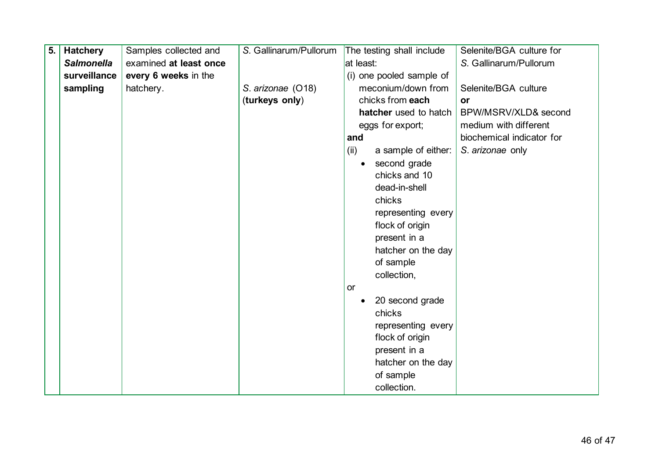| 5. | <b>Hatchery</b>   | Samples collected and  | S. Gallinarum/Pullorum | The testing shall include |                     | Selenite/BGA culture for  |
|----|-------------------|------------------------|------------------------|---------------------------|---------------------|---------------------------|
|    | <b>Salmonella</b> | examined at least once |                        | at least:                 |                     | S. Gallinarum/Pullorum    |
|    | surveillance      | every 6 weeks in the   |                        | (i) one pooled sample of  |                     |                           |
|    | sampling          | hatchery.              | S. arizonae (O18)      |                           | meconium/down from  | Selenite/BGA culture      |
|    |                   |                        | (turkeys only)         |                           | chicks from each    | <b>or</b>                 |
|    |                   |                        |                        | hatcher used to hatch     |                     | BPW/MSRV/XLD& second      |
|    |                   |                        |                        |                           | eggs for export;    | medium with different     |
|    |                   |                        |                        | and                       |                     | biochemical indicator for |
|    |                   |                        |                        | (ii)                      | a sample of either: | S. arizonae only          |
|    |                   |                        |                        | $\bullet$                 | second grade        |                           |
|    |                   |                        |                        |                           | chicks and 10       |                           |
|    |                   |                        |                        |                           | dead-in-shell       |                           |
|    |                   |                        |                        |                           | chicks              |                           |
|    |                   |                        |                        |                           | representing every  |                           |
|    |                   |                        |                        |                           | flock of origin     |                           |
|    |                   |                        |                        |                           | present in a        |                           |
|    |                   |                        |                        |                           | hatcher on the day  |                           |
|    |                   |                        |                        |                           | of sample           |                           |
|    |                   |                        |                        |                           | collection,         |                           |
|    |                   |                        |                        | or                        |                     |                           |
|    |                   |                        |                        |                           | 20 second grade     |                           |
|    |                   |                        |                        |                           | chicks              |                           |
|    |                   |                        |                        |                           | representing every  |                           |
|    |                   |                        |                        |                           | flock of origin     |                           |
|    |                   |                        |                        |                           | present in a        |                           |
|    |                   |                        |                        |                           | hatcher on the day  |                           |
|    |                   |                        |                        |                           | of sample           |                           |
|    |                   |                        |                        |                           | collection.         |                           |